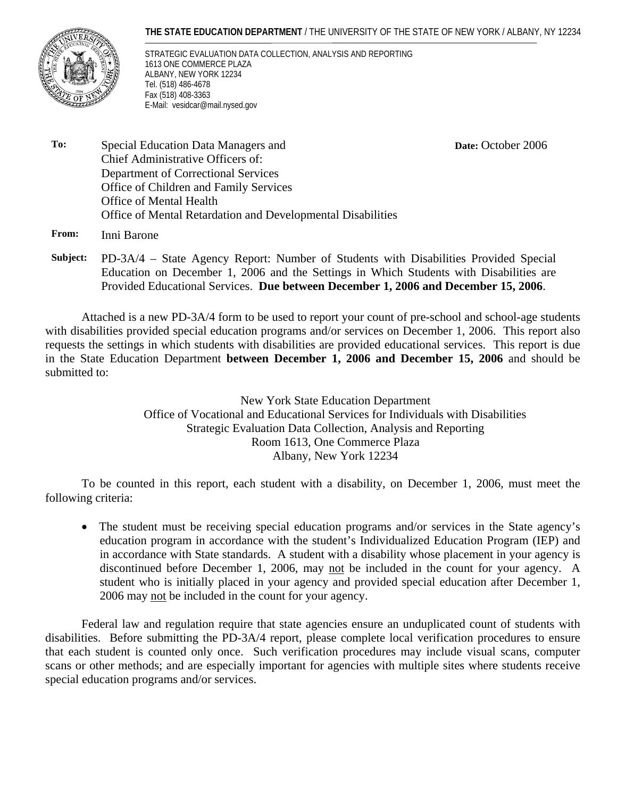#### **THE STATE EDUCATION DEPARTMENT** / THE UNIVERSITY OF THE STATE OF NEW YORK / ALBANY, NY 12234



STRATEGIC EVALUATION DATA COLLECTION, ANALYSIS AND REPORTING 1613 ONE COMMERCE PLAZA ALBANY, NEW YORK 12234 Tel. (518) 486-4678 Fax (518) 408-3363 E-Mail: vesidcar@mail.nysed.gov

**Date:** October 2006

**To:** Special Education Data Managers and Chief Administrative Officers of: Department of Correctional Services Office of Children and Family Services Office of Mental Health Office of Mental Retardation and Developmental Disabilities

**From:** Inni Barone

**Subject:** PD-3A/4 – State Agency Report: Number of Students with Disabilities Provided Special Education on December 1, 2006 and the Settings in Which Students with Disabilities are Provided Educational Services. **Due between December 1, 2006 and December 15, 2006**.

Attached is a new PD-3A/4 form to be used to report your count of pre-school and school-age students with disabilities provided special education programs and/or services on December 1, 2006. This report also requests the settings in which students with disabilities are provided educational services. This report is due in the State Education Department **between December 1, 2006 and December 15, 2006** and should be submitted to:

> New York State Education Department Office of Vocational and Educational Services for Individuals with Disabilities Strategic Evaluation Data Collection, Analysis and Reporting Room 1613, One Commerce Plaza Albany, New York 12234

To be counted in this report, each student with a disability, on December 1, 2006, must meet the following criteria:

• The student must be receiving special education programs and/or services in the State agency's education program in accordance with the student's Individualized Education Program (IEP) and in accordance with State standards. A student with a disability whose placement in your agency is discontinued before December 1, 2006, may not be included in the count for your agency. A student who is initially placed in your agency and provided special education after December 1, 2006 may not be included in the count for your agency.

Federal law and regulation require that state agencies ensure an unduplicated count of students with disabilities. Before submitting the PD-3A/4 report, please complete local verification procedures to ensure that each student is counted only once. Such verification procedures may include visual scans, computer scans or other methods; and are especially important for agencies with multiple sites where students receive special education programs and/or services.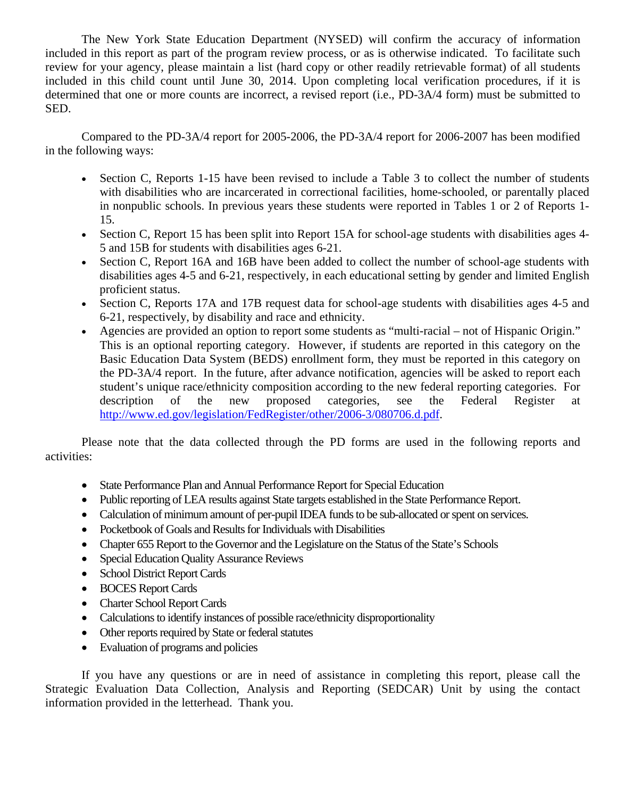The New York State Education Department (NYSED) will confirm the accuracy of information included in this report as part of the program review process, or as is otherwise indicated. To facilitate such review for your agency, please maintain a list (hard copy or other readily retrievable format) of all students included in this child count until June 30, 2014. Upon completing local verification procedures, if it is determined that one or more counts are incorrect, a revised report (i.e., PD-3A/4 form) must be submitted to SED.

Compared to the PD-3A/4 report for 2005-2006, the PD-3A/4 report for 2006-2007 has been modified in the following ways:

- Section C, Reports 1-15 have been revised to include a Table 3 to collect the number of students with disabilities who are incarcerated in correctional facilities, home-schooled, or parentally placed in nonpublic schools. In previous years these students were reported in Tables 1 or 2 of Reports 1- 15.
- Section C, Report 15 has been split into Report 15A for school-age students with disabilities ages 4- 5 and 15B for students with disabilities ages 6-21.
- Section C, Report 16A and 16B have been added to collect the number of school-age students with disabilities ages 4-5 and 6-21, respectively, in each educational setting by gender and limited English proficient status.
- Section C, Reports 17A and 17B request data for school-age students with disabilities ages 4-5 and 6-21, respectively, by disability and race and ethnicity.
- Agencies are provided an option to report some students as "multi-racial not of Hispanic Origin." This is an optional reporting category. However, if students are reported in this category on the Basic Education Data System (BEDS) enrollment form, they must be reported in this category on the PD-3A/4 report. In the future, after advance notification, agencies will be asked to report each student's unique race/ethnicity composition according to the new federal reporting categories. For description of the new proposed categories, see the Federal Register at http://www.ed.gov/legislation/FedRegister/other/2006-3/080706.d.pdf.

Please note that the data collected through the PD forms are used in the following reports and activities:

- State Performance Plan and Annual Performance Report for Special Education
- Public reporting of LEA results against State targets established in the State Performance Report.
- Calculation of minimum amount of per-pupil IDEA funds to be sub-allocated or spent on services.
- Pocketbook of Goals and Results for Individuals with Disabilities
- Chapter 655 Report to the Governor and the Legislature on the Status of the State's Schools
- Special Education Quality Assurance Reviews
- School District Report Cards
- BOCES Report Cards
- Charter School Report Cards
- Calculations to identify instances of possible race/ethnicity disproportionality
- Other reports required by State or federal statutes
- Evaluation of programs and policies

If you have any questions or are in need of assistance in completing this report, please call the Strategic Evaluation Data Collection, Analysis and Reporting (SEDCAR) Unit by using the contact information provided in the letterhead. Thank you.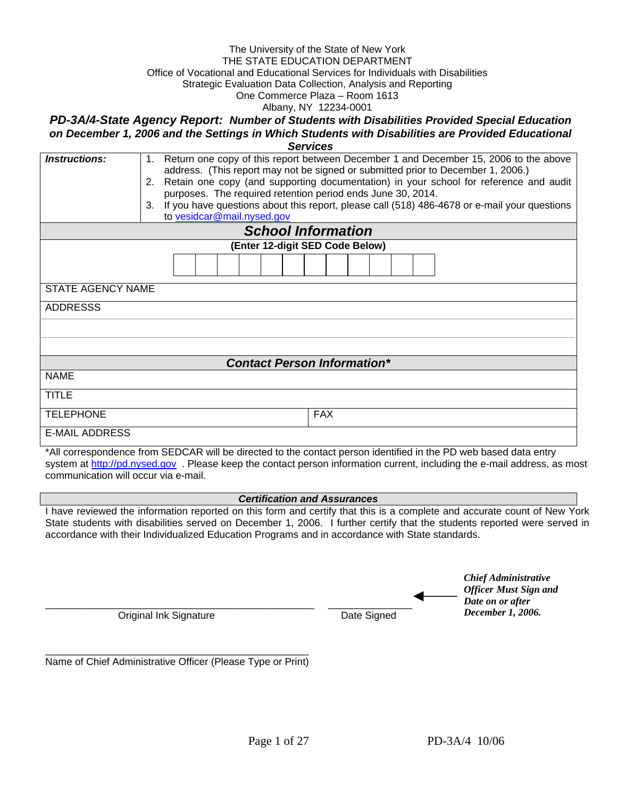#### The University of the State of New York THE STATE EDUCATION DEPARTMENT Office of Vocational and Educational Services for Individuals with Disabilities Strategic Evaluation Data Collection, Analysis and Reporting One Commerce Plaza – Room 1613

Albany, NY 12234-0001

*PD-3A/4-State Agency Report: Number of Students with Disabilities Provided Special Education on December 1, 2006 and the Settings in Which Students with Disabilities are Provided Educational Services*

| <i><b>Instructions:</b></i> | Return one copy of this report between December 1 and December 15, 2006 to the above<br>$1_{\cdot}$<br>address. (This report may not be signed or submitted prior to December 1, 2006.)<br>2. Retain one copy (and supporting documentation) in your school for reference and audit<br>purposes. The required retention period ends June 30, 2014.<br>If you have questions about this report, please call (518) 486-4678 or e-mail your questions<br>3.<br>to vesidcar@mail.nysed.gov<br><b>School Information</b> |
|-----------------------------|---------------------------------------------------------------------------------------------------------------------------------------------------------------------------------------------------------------------------------------------------------------------------------------------------------------------------------------------------------------------------------------------------------------------------------------------------------------------------------------------------------------------|
|                             |                                                                                                                                                                                                                                                                                                                                                                                                                                                                                                                     |
|                             | (Enter 12-digit SED Code Below)                                                                                                                                                                                                                                                                                                                                                                                                                                                                                     |
|                             |                                                                                                                                                                                                                                                                                                                                                                                                                                                                                                                     |
| <b>STATE AGENCY NAME</b>    |                                                                                                                                                                                                                                                                                                                                                                                                                                                                                                                     |
| <b>ADDRESSS</b>             |                                                                                                                                                                                                                                                                                                                                                                                                                                                                                                                     |
|                             |                                                                                                                                                                                                                                                                                                                                                                                                                                                                                                                     |
|                             |                                                                                                                                                                                                                                                                                                                                                                                                                                                                                                                     |
|                             |                                                                                                                                                                                                                                                                                                                                                                                                                                                                                                                     |
|                             | <b>Contact Person Information*</b>                                                                                                                                                                                                                                                                                                                                                                                                                                                                                  |
| <b>NAME</b>                 |                                                                                                                                                                                                                                                                                                                                                                                                                                                                                                                     |
| <b>TITLE</b>                |                                                                                                                                                                                                                                                                                                                                                                                                                                                                                                                     |
| <b>TELEPHONE</b>            | <b>FAX</b>                                                                                                                                                                                                                                                                                                                                                                                                                                                                                                          |
| <b>E-MAIL ADDRESS</b>       |                                                                                                                                                                                                                                                                                                                                                                                                                                                                                                                     |

\*All correspondence from SEDCAR will be directed to the contact person identified in the PD web based data entry system at http://pd.nysed.gov. Please keep the contact person information current, including the e-mail address, as most communication will occur via e-mail.

#### *Certification and Assurances*

I have reviewed the information reported on this form and certify that this is a complete and accurate count of New York State students with disabilities served on December 1, 2006. I further certify that the students reported were served in accordance with their Individualized Education Programs and in accordance with State standards.

|                        |             | Chief Administrative         |
|------------------------|-------------|------------------------------|
|                        |             | <b>Officer Must Sign and</b> |
|                        |             | Date on or after             |
| Original Ink Signature | Date Signed | December 1, 2006.            |

\_\_\_\_\_\_\_\_\_\_\_\_\_\_\_\_\_\_\_\_\_\_\_\_\_\_\_\_\_\_\_\_\_\_\_\_\_\_\_\_\_\_\_\_\_\_\_ Name of Chief Administrative Officer (Please Type or Print) *Chief Administrative*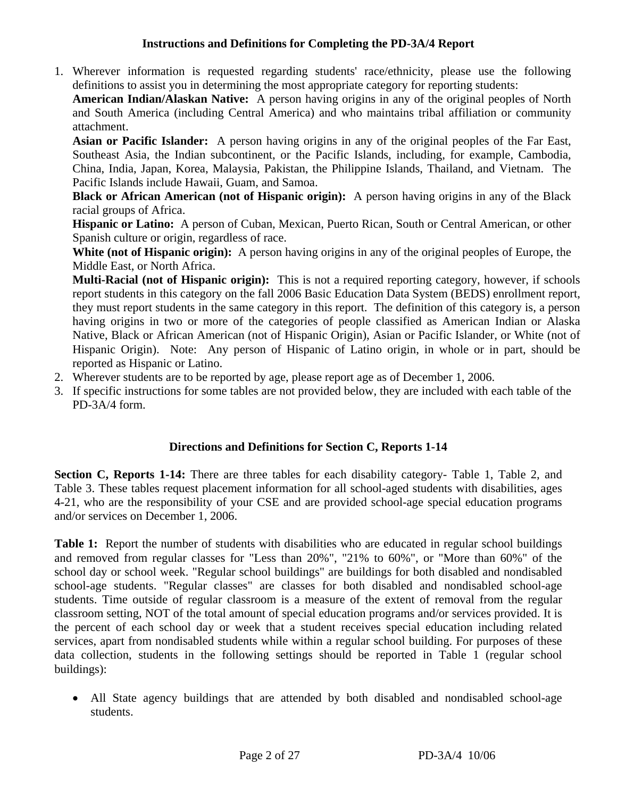### **Instructions and Definitions for Completing the PD-3A/4 Report**

1. Wherever information is requested regarding students' race/ethnicity, please use the following definitions to assist you in determining the most appropriate category for reporting students:

**American Indian/Alaskan Native:** A person having origins in any of the original peoples of North and South America (including Central America) and who maintains tribal affiliation or community attachment.

**Asian or Pacific Islander:** A person having origins in any of the original peoples of the Far East, Southeast Asia, the Indian subcontinent, or the Pacific Islands, including, for example, Cambodia, China, India, Japan, Korea, Malaysia, Pakistan, the Philippine Islands, Thailand, and Vietnam. The Pacific Islands include Hawaii, Guam, and Samoa.

**Black or African American (not of Hispanic origin):** A person having origins in any of the Black racial groups of Africa.

**Hispanic or Latino:** A person of Cuban, Mexican, Puerto Rican, South or Central American, or other Spanish culture or origin, regardless of race.

**White (not of Hispanic origin):** A person having origins in any of the original peoples of Europe, the Middle East, or North Africa.

**Multi-Racial (not of Hispanic origin):** This is not a required reporting category, however, if schools report students in this category on the fall 2006 Basic Education Data System (BEDS) enrollment report, they must report students in the same category in this report. The definition of this category is, a person having origins in two or more of the categories of people classified as American Indian or Alaska Native, Black or African American (not of Hispanic Origin), Asian or Pacific Islander, or White (not of Hispanic Origin). Note: Any person of Hispanic of Latino origin, in whole or in part, should be reported as Hispanic or Latino.

- 2. Wherever students are to be reported by age, please report age as of December 1, 2006.
- 3. If specific instructions for some tables are not provided below, they are included with each table of the PD-3A/4 form.

## **Directions and Definitions for Section C, Reports 1-14**

**Section C, Reports 1-14:** There are three tables for each disability category- Table 1, Table 2, and Table 3. These tables request placement information for all school-aged students with disabilities, ages 4-21, who are the responsibility of your CSE and are provided school-age special education programs and/or services on December 1, 2006.

Table 1: Report the number of students with disabilities who are educated in regular school buildings and removed from regular classes for "Less than 20%", "21% to 60%", or "More than 60%" of the school day or school week. "Regular school buildings" are buildings for both disabled and nondisabled school-age students. "Regular classes" are classes for both disabled and nondisabled school-age students. Time outside of regular classroom is a measure of the extent of removal from the regular classroom setting, NOT of the total amount of special education programs and/or services provided. It is the percent of each school day or week that a student receives special education including related services, apart from nondisabled students while within a regular school building. For purposes of these data collection, students in the following settings should be reported in Table 1 (regular school buildings):

• All State agency buildings that are attended by both disabled and nondisabled school-age students.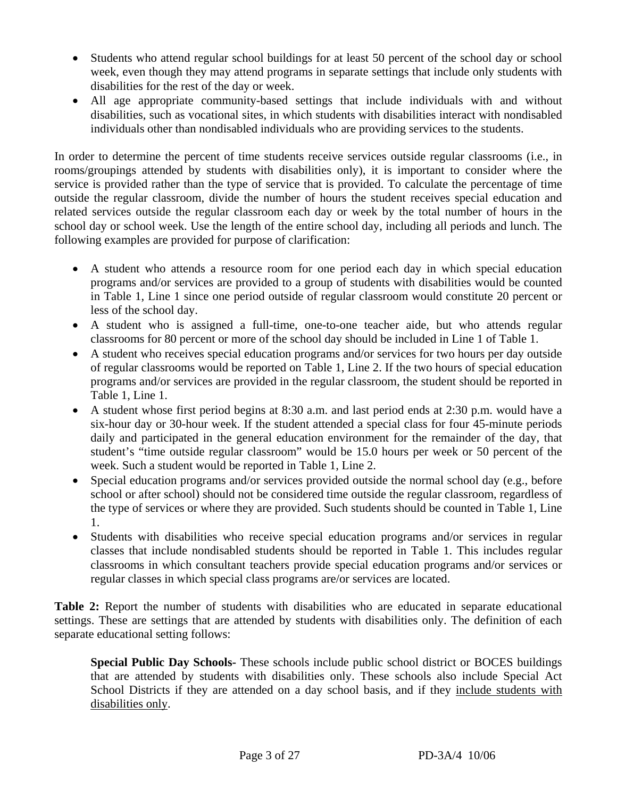- Students who attend regular school buildings for at least 50 percent of the school day or school week, even though they may attend programs in separate settings that include only students with disabilities for the rest of the day or week.
- All age appropriate community-based settings that include individuals with and without disabilities, such as vocational sites, in which students with disabilities interact with nondisabled individuals other than nondisabled individuals who are providing services to the students.

In order to determine the percent of time students receive services outside regular classrooms (i.e., in rooms/groupings attended by students with disabilities only), it is important to consider where the service is provided rather than the type of service that is provided. To calculate the percentage of time outside the regular classroom, divide the number of hours the student receives special education and related services outside the regular classroom each day or week by the total number of hours in the school day or school week. Use the length of the entire school day, including all periods and lunch. The following examples are provided for purpose of clarification:

- A student who attends a resource room for one period each day in which special education programs and/or services are provided to a group of students with disabilities would be counted in Table 1, Line 1 since one period outside of regular classroom would constitute 20 percent or less of the school day.
- A student who is assigned a full-time, one-to-one teacher aide, but who attends regular classrooms for 80 percent or more of the school day should be included in Line 1 of Table 1.
- A student who receives special education programs and/or services for two hours per day outside of regular classrooms would be reported on Table 1, Line 2. If the two hours of special education programs and/or services are provided in the regular classroom, the student should be reported in Table 1, Line 1.
- A student whose first period begins at 8:30 a.m. and last period ends at 2:30 p.m. would have a six-hour day or 30-hour week. If the student attended a special class for four 45-minute periods daily and participated in the general education environment for the remainder of the day, that student's "time outside regular classroom" would be 15.0 hours per week or 50 percent of the week. Such a student would be reported in Table 1, Line 2.
- Special education programs and/or services provided outside the normal school day (e.g., before school or after school) should not be considered time outside the regular classroom, regardless of the type of services or where they are provided. Such students should be counted in Table 1, Line 1.
- Students with disabilities who receive special education programs and/or services in regular classes that include nondisabled students should be reported in Table 1. This includes regular classrooms in which consultant teachers provide special education programs and/or services or regular classes in which special class programs are/or services are located.

**Table 2:** Report the number of students with disabilities who are educated in separate educational settings. These are settings that are attended by students with disabilities only. The definition of each separate educational setting follows:

**Special Public Day Schools-** These schools include public school district or BOCES buildings that are attended by students with disabilities only. These schools also include Special Act School Districts if they are attended on a day school basis, and if they include students with disabilities only.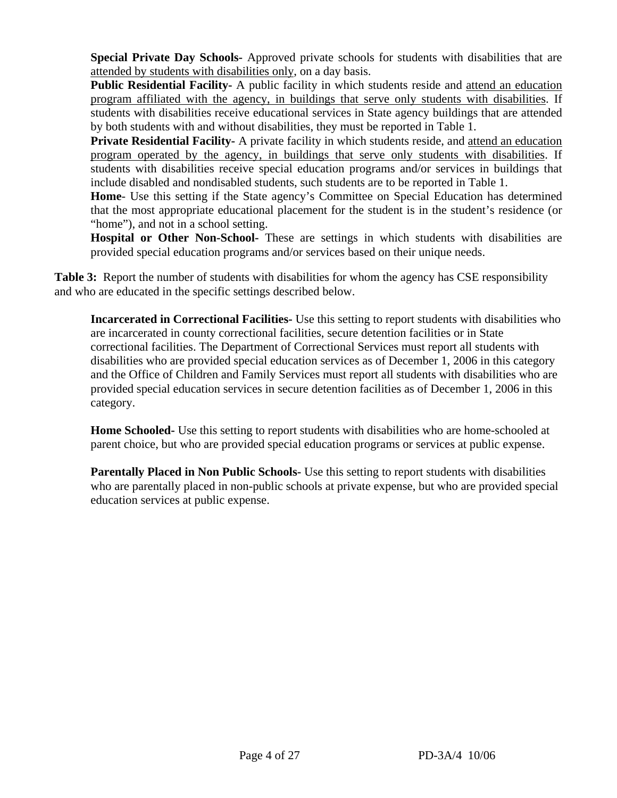**Special Private Day Schools-** Approved private schools for students with disabilities that are attended by students with disabilities only, on a day basis.

**Public Residential Facility-** A public facility in which students reside and attend an education program affiliated with the agency, in buildings that serve only students with disabilities. If students with disabilities receive educational services in State agency buildings that are attended by both students with and without disabilities, they must be reported in Table 1.

**Private Residential Facility-** A private facility in which students reside, and attend an education program operated by the agency, in buildings that serve only students with disabilities. If students with disabilities receive special education programs and/or services in buildings that include disabled and nondisabled students, such students are to be reported in Table 1.

**Home**- Use this setting if the State agency's Committee on Special Education has determined that the most appropriate educational placement for the student is in the student's residence (or "home"), and not in a school setting.

**Hospital or Other Non-School-** These are settings in which students with disabilities are provided special education programs and/or services based on their unique needs.

**Table 3:** Report the number of students with disabilities for whom the agency has CSE responsibility and who are educated in the specific settings described below.

**Incarcerated in Correctional Facilities-** Use this setting to report students with disabilities who are incarcerated in county correctional facilities, secure detention facilities or in State correctional facilities. The Department of Correctional Services must report all students with disabilities who are provided special education services as of December 1, 2006 in this category and the Office of Children and Family Services must report all students with disabilities who are provided special education services in secure detention facilities as of December 1, 2006 in this category.

**Home Schooled-** Use this setting to report students with disabilities who are home-schooled at parent choice, but who are provided special education programs or services at public expense.

**Parentally Placed in Non Public Schools-** Use this setting to report students with disabilities who are parentally placed in non-public schools at private expense, but who are provided special education services at public expense.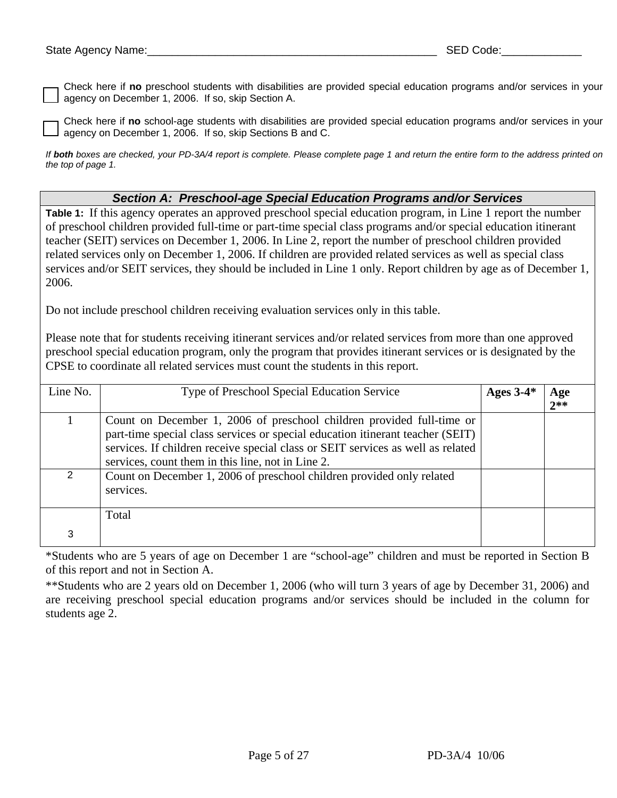Check here if **no** preschool students with disabilities are provided special education programs and/or services in your agency on December 1, 2006. If so, skip Section A.

Check here if **no** school-age students with disabilities are provided special education programs and/or services in your agency on December 1, 2006. If so, skip Sections B and C.

*If both boxes are checked, your PD-3A/4 report is complete. Please complete page 1 and return the entire form to the address printed on the top of page 1.* 

#### *Section A: Preschool-age Special Education Programs and/or Services*

**Table 1:** If this agency operates an approved preschool special education program, in Line 1 report the number of preschool children provided full-time or part-time special class programs and/or special education itinerant teacher (SEIT) services on December 1, 2006. In Line 2, report the number of preschool children provided related services only on December 1, 2006. If children are provided related services as well as special class services and/or SEIT services, they should be included in Line 1 only. Report children by age as of December 1, 2006.

Do not include preschool children receiving evaluation services only in this table.

Please note that for students receiving itinerant services and/or related services from more than one approved preschool special education program, only the program that provides itinerant services or is designated by the CPSE to coordinate all related services must count the students in this report.

| Line No.       | Type of Preschool Special Education Service                                                                                                                                                                                                                                                     | Ages $3-4*$ | Age<br>$2**$ |
|----------------|-------------------------------------------------------------------------------------------------------------------------------------------------------------------------------------------------------------------------------------------------------------------------------------------------|-------------|--------------|
|                | Count on December 1, 2006 of preschool children provided full-time or<br>part-time special class services or special education itinerant teacher (SEIT)<br>services. If children receive special class or SEIT services as well as related<br>services, count them in this line, not in Line 2. |             |              |
| $\overline{2}$ | Count on December 1, 2006 of preschool children provided only related<br>services.                                                                                                                                                                                                              |             |              |
|                | Total                                                                                                                                                                                                                                                                                           |             |              |
| 3              |                                                                                                                                                                                                                                                                                                 |             |              |

\*Students who are 5 years of age on December 1 are "school-age" children and must be reported in Section B of this report and not in Section A.

\*\*Students who are 2 years old on December 1, 2006 (who will turn 3 years of age by December 31, 2006) and are receiving preschool special education programs and/or services should be included in the column for students age 2.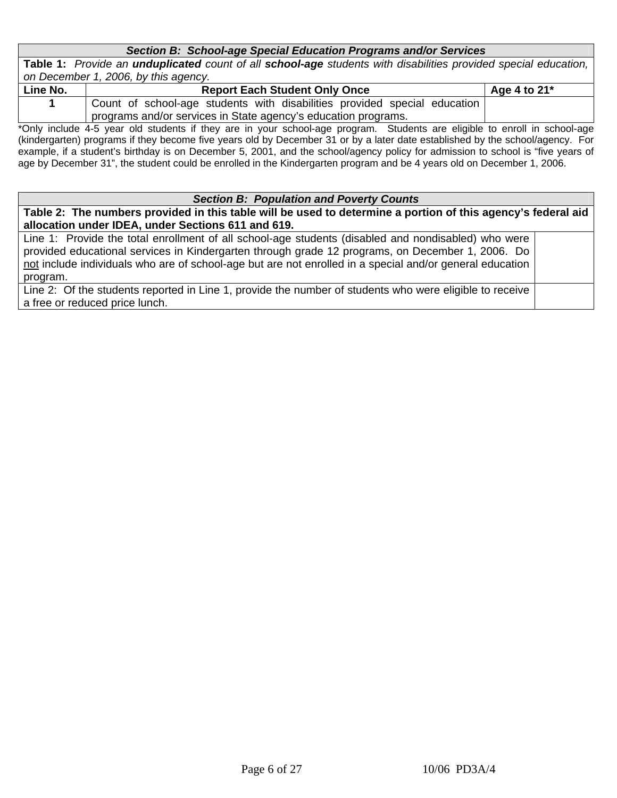### *Section B: School-age Special Education Programs and/or Services*

**Table 1:** *Provide an unduplicated count of all school-age students with disabilities provided special education, on December 1, 2006, by this agency.* 

| Line No. | <b>Report Each Student Only Once</b>                                      | Age 4 to $21^*$ |
|----------|---------------------------------------------------------------------------|-----------------|
|          | Count of school-age students with disabilities provided special education |                 |
|          | programs and/or services in State agency's education programs.            |                 |
|          |                                                                           |                 |

\*Only include 4-5 year old students if they are in your school-age program. Students are eligible to enroll in school-age (kindergarten) programs if they become five years old by December 31 or by a later date established by the school/agency. For example, if a student's birthday is on December 5, 2001, and the school/agency policy for admission to school is "five years of age by December 31", the student could be enrolled in the Kindergarten program and be 4 years old on December 1, 2006.

#### *Section B: Population and Poverty Counts*

**Table 2: The numbers provided in this table will be used to determine a portion of this agency's federal aid allocation under IDEA, under Sections 611 and 619.** 

Line 1: Provide the total enrollment of all school-age students (disabled and nondisabled) who were provided educational services in Kindergarten through grade 12 programs, on December 1, 2006. Do not include individuals who are of school-age but are not enrolled in a special and/or general education program.

Line 2: Of the students reported in Line 1, provide the number of students who were eligible to receive a free or reduced price lunch.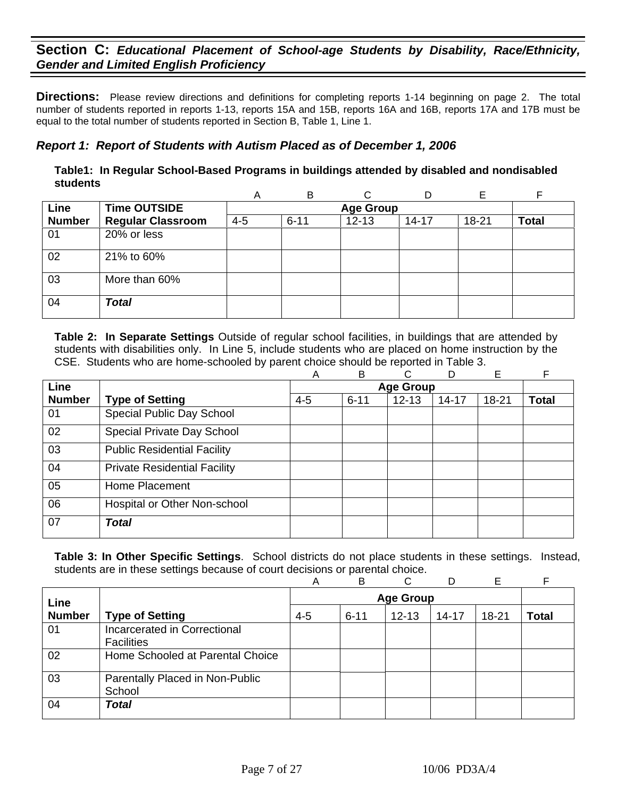**Directions:** Please review directions and definitions for completing reports 1-14 beginning on page 2. The total number of students reported in reports 1-13, reports 15A and 15B, reports 16A and 16B, reports 17A and 17B must be equal to the total number of students reported in Section B, Table 1, Line 1.

## *Report 1: Report of Students with Autism Placed as of December 1, 2006*

**Table1: In Regular School-Based Programs in buildings attended by disabled and nondisabled students** 

|               |                          | А       | B        | ⌒                |           |       |              |
|---------------|--------------------------|---------|----------|------------------|-----------|-------|--------------|
| Line          | <b>Time OUTSIDE</b>      |         |          | <b>Age Group</b> |           |       |              |
| <b>Number</b> | <b>Regular Classroom</b> | $4 - 5$ | $6 - 11$ | $12 - 13$        | $14 - 17$ | 18-21 | <b>Total</b> |
| 01            | 20% or less              |         |          |                  |           |       |              |
| 02            | 21% to 60%               |         |          |                  |           |       |              |
| 03            | More than 60%            |         |          |                  |           |       |              |
| 04            | <b>Total</b>             |         |          |                  |           |       |              |

**Table 2: In Separate Settings** Outside of regular school facilities, in buildings that are attended by students with disabilities only. In Line 5, include students who are placed on home instruction by the CSE. Students who are home-schooled by parent choice should be reported in Table 3.

|               |                                     | A       | B        | C                | D         | E         | F            |
|---------------|-------------------------------------|---------|----------|------------------|-----------|-----------|--------------|
| <b>Line</b>   |                                     |         |          | <b>Age Group</b> |           |           |              |
| <b>Number</b> | <b>Type of Setting</b>              | $4 - 5$ | $6 - 11$ | $12 - 13$        | $14 - 17$ | $18 - 21$ | <b>Total</b> |
| 01            | Special Public Day School           |         |          |                  |           |           |              |
| 02            | Special Private Day School          |         |          |                  |           |           |              |
| 03            | <b>Public Residential Facility</b>  |         |          |                  |           |           |              |
| 04            | <b>Private Residential Facility</b> |         |          |                  |           |           |              |
| 05            | Home Placement                      |         |          |                  |           |           |              |
| 06            | Hospital or Other Non-school        |         |          |                  |           |           |              |
| 07            | <b>Total</b>                        |         |          |                  |           |           |              |

|               |                                                   | A       | B        | C                | D         | Е         |       |
|---------------|---------------------------------------------------|---------|----------|------------------|-----------|-----------|-------|
| Line          |                                                   |         |          | <b>Age Group</b> |           |           |       |
| <b>Number</b> | <b>Type of Setting</b>                            | $4 - 5$ | $6 - 11$ | $12 - 13$        | $14 - 17$ | $18 - 21$ | Total |
| 01            | Incarcerated in Correctional<br><b>Facilities</b> |         |          |                  |           |           |       |
| 02            | Home Schooled at Parental Choice                  |         |          |                  |           |           |       |
| 03            | Parentally Placed in Non-Public<br>School         |         |          |                  |           |           |       |
| 04            | <b>Total</b>                                      |         |          |                  |           |           |       |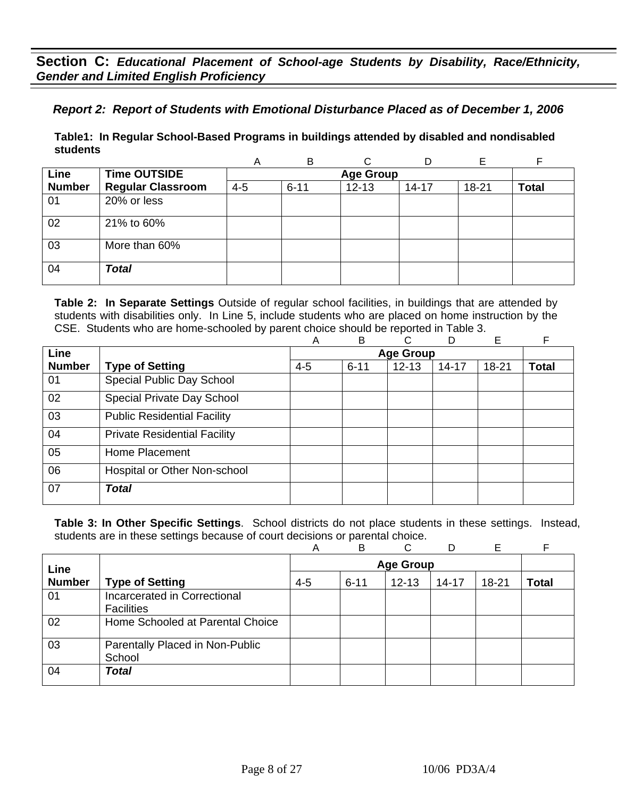## *Report 2: Report of Students with Emotional Disturbance Placed as of December 1, 2006*

**Table1: In Regular School-Based Programs in buildings attended by disabled and nondisabled students** 

|               |                          | A       | B        | C                |           | E     | F            |
|---------------|--------------------------|---------|----------|------------------|-----------|-------|--------------|
| Line          | <b>Time OUTSIDE</b>      |         |          | <b>Age Group</b> |           |       |              |
| <b>Number</b> | <b>Regular Classroom</b> | $4 - 5$ | $6 - 11$ | $12 - 13$        | $14 - 17$ | 18-21 | <b>Total</b> |
| 01            | 20% or less              |         |          |                  |           |       |              |
| 02            | 21% to 60%               |         |          |                  |           |       |              |
| 03            | More than 60%            |         |          |                  |           |       |              |
| 04            | <b>Total</b>             |         |          |                  |           |       |              |

**Table 2: In Separate Settings** Outside of regular school facilities, in buildings that are attended by students with disabilities only. In Line 5, include students who are placed on home instruction by the CSE. Students who are home-schooled by parent choice should be reported in Table 3.

|                                     | A       | B        | C         | D         | Е                | F            |
|-------------------------------------|---------|----------|-----------|-----------|------------------|--------------|
|                                     |         |          |           |           |                  |              |
| <b>Type of Setting</b>              | $4 - 5$ | $6 - 11$ | $12 - 13$ | $14 - 17$ | 18-21            | <b>Total</b> |
| Special Public Day School           |         |          |           |           |                  |              |
| Special Private Day School          |         |          |           |           |                  |              |
| <b>Public Residential Facility</b>  |         |          |           |           |                  |              |
| <b>Private Residential Facility</b> |         |          |           |           |                  |              |
| Home Placement                      |         |          |           |           |                  |              |
| Hospital or Other Non-school        |         |          |           |           |                  |              |
| <b>Total</b>                        |         |          |           |           |                  |              |
|                                     |         |          |           |           | <b>Age Group</b> |              |

|               |                                                   | A       | B        | C         | D         | Е     |       |
|---------------|---------------------------------------------------|---------|----------|-----------|-----------|-------|-------|
| Line          | <b>Age Group</b>                                  |         |          |           |           |       |       |
| <b>Number</b> | <b>Type of Setting</b>                            | $4 - 5$ | $6 - 11$ | $12 - 13$ | $14 - 17$ | 18-21 | Total |
| 01            | Incarcerated in Correctional<br><b>Facilities</b> |         |          |           |           |       |       |
| 02            | Home Schooled at Parental Choice                  |         |          |           |           |       |       |
| 03            | Parentally Placed in Non-Public<br>School         |         |          |           |           |       |       |
| 04            | <b>Total</b>                                      |         |          |           |           |       |       |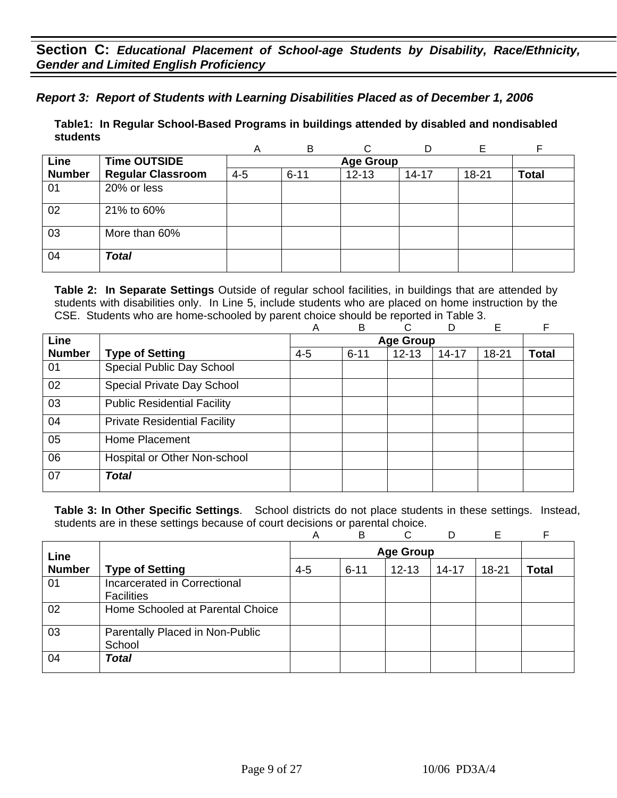*Report 3: Report of Students with Learning Disabilities Placed as of December 1, 2006*

**Table1: In Regular School-Based Programs in buildings attended by disabled and nondisabled students** 

|               |                          | Α       | B        |                  |           | Е     |              |
|---------------|--------------------------|---------|----------|------------------|-----------|-------|--------------|
| Line          | <b>Time OUTSIDE</b>      |         |          | <b>Age Group</b> |           |       |              |
| <b>Number</b> | <b>Regular Classroom</b> | $4 - 5$ | $6 - 11$ | $12 - 13$        | $14 - 17$ | 18-21 | <b>Total</b> |
| 01            | 20% or less              |         |          |                  |           |       |              |
| 02            | 21% to 60%               |         |          |                  |           |       |              |
| 03            | More than 60%            |         |          |                  |           |       |              |
| 04            | <b>Total</b>             |         |          |                  |           |       |              |

**Table 2: In Separate Settings** Outside of regular school facilities, in buildings that are attended by students with disabilities only. In Line 5, include students who are placed on home instruction by the CSE. Students who are home-schooled by parent choice should be reported in Table 3.

|               |                                     | Α       | B        | C                | D         | E         | F            |
|---------------|-------------------------------------|---------|----------|------------------|-----------|-----------|--------------|
| Line          |                                     |         |          | <b>Age Group</b> |           |           |              |
| <b>Number</b> | <b>Type of Setting</b>              | $4 - 5$ | $6 - 11$ | $12 - 13$        | $14 - 17$ | $18 - 21$ | <b>Total</b> |
| 01            | Special Public Day School           |         |          |                  |           |           |              |
| 02            | Special Private Day School          |         |          |                  |           |           |              |
| 03            | <b>Public Residential Facility</b>  |         |          |                  |           |           |              |
| 04            | <b>Private Residential Facility</b> |         |          |                  |           |           |              |
| 05            | Home Placement                      |         |          |                  |           |           |              |
| 06            | Hospital or Other Non-school        |         |          |                  |           |           |              |
| 07            | <b>Total</b>                        |         |          |                  |           |           |              |

|               |                                                   | А       | B        | ⌒                |           | Е         |              |
|---------------|---------------------------------------------------|---------|----------|------------------|-----------|-----------|--------------|
| Line          |                                                   |         |          | <b>Age Group</b> |           |           |              |
| <b>Number</b> | <b>Type of Setting</b>                            | $4 - 5$ | $6 - 11$ | $12 - 13$        | $14 - 17$ | $18 - 21$ | <b>Total</b> |
| 01            | Incarcerated in Correctional<br><b>Facilities</b> |         |          |                  |           |           |              |
| 02            | Home Schooled at Parental Choice                  |         |          |                  |           |           |              |
| 03            | Parentally Placed in Non-Public<br>School         |         |          |                  |           |           |              |
| 04            | <b>Total</b>                                      |         |          |                  |           |           |              |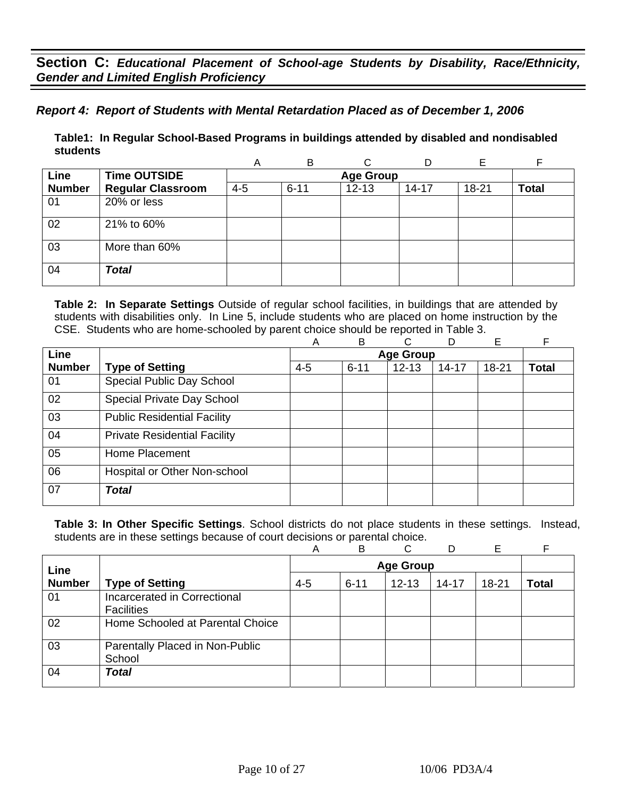## *Report 4: Report of Students with Mental Retardation Placed as of December 1, 2006*

**Table1: In Regular School-Based Programs in buildings attended by disabled and nondisabled students** 

|               |                          | Α       | B                | ⌒         |           |       |              |  |  |  |
|---------------|--------------------------|---------|------------------|-----------|-----------|-------|--------------|--|--|--|
| Line          | <b>Time OUTSIDE</b>      |         | <b>Age Group</b> |           |           |       |              |  |  |  |
| <b>Number</b> | <b>Regular Classroom</b> | $4 - 5$ | $6 - 11$         | $12 - 13$ | $14 - 17$ | 18-21 | <b>Total</b> |  |  |  |
| 01            | 20% or less              |         |                  |           |           |       |              |  |  |  |
| 02            | 21% to 60%               |         |                  |           |           |       |              |  |  |  |
| 03            | More than 60%            |         |                  |           |           |       |              |  |  |  |
| 04            | <b>Total</b>             |         |                  |           |           |       |              |  |  |  |

**Table 2: In Separate Settings** Outside of regular school facilities, in buildings that are attended by students with disabilities only. In Line 5, include students who are placed on home instruction by the CSE. Students who are home-schooled by parent choice should be reported in Table 3.

|               |                                     | Α       | B                | С         | D     | E         |              |  |
|---------------|-------------------------------------|---------|------------------|-----------|-------|-----------|--------------|--|
| Line          |                                     |         | <b>Age Group</b> |           |       |           |              |  |
| <b>Number</b> | <b>Type of Setting</b>              | $4 - 5$ | $6 - 11$         | $12 - 13$ | 14-17 | $18 - 21$ | <b>Total</b> |  |
| 01            | Special Public Day School           |         |                  |           |       |           |              |  |
| 02            | Special Private Day School          |         |                  |           |       |           |              |  |
| 03            | <b>Public Residential Facility</b>  |         |                  |           |       |           |              |  |
| 04            | <b>Private Residential Facility</b> |         |                  |           |       |           |              |  |
| 05            | Home Placement                      |         |                  |           |       |           |              |  |
| 06            | Hospital or Other Non-school        |         |                  |           |       |           |              |  |
| 07            | <b>Total</b>                        |         |                  |           |       |           |              |  |

|               |                                  | Α       | B        | C         | D         | Е         |       |
|---------------|----------------------------------|---------|----------|-----------|-----------|-----------|-------|
| Line          |                                  |         |          |           |           |           |       |
| <b>Number</b> | <b>Type of Setting</b>           | $4 - 5$ | $6 - 11$ | $12 - 13$ | $14 - 17$ | $18 - 21$ | Total |
| 01            | Incarcerated in Correctional     |         |          |           |           |           |       |
|               | <b>Facilities</b>                |         |          |           |           |           |       |
| 02            | Home Schooled at Parental Choice |         |          |           |           |           |       |
| 03            | Parentally Placed in Non-Public  |         |          |           |           |           |       |
|               | School                           |         |          |           |           |           |       |
| 04            | <b>Total</b>                     |         |          |           |           |           |       |
|               |                                  |         |          |           |           |           |       |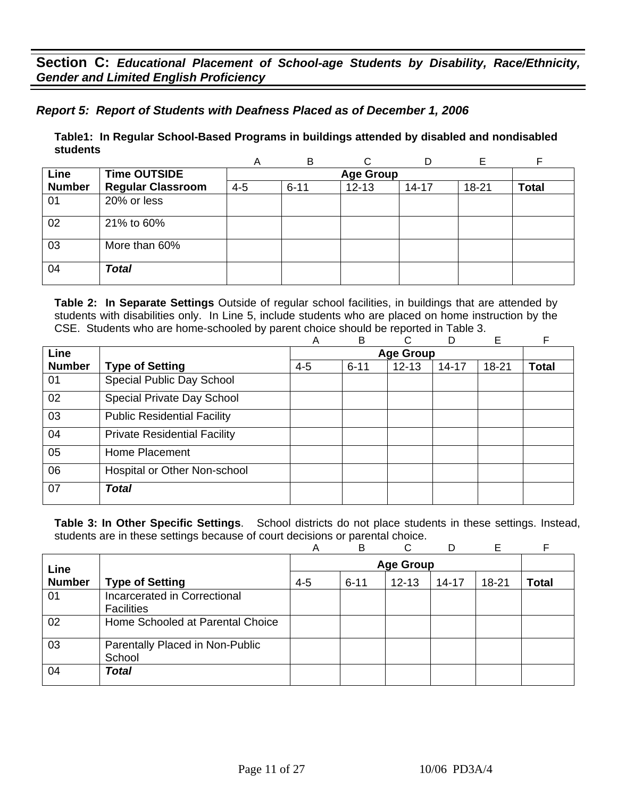## *Report 5: Report of Students with Deafness Placed as of December 1, 2006*

**Table1: In Regular School-Based Programs in buildings attended by disabled and nondisabled students** 

|               |                          | Α       | B                | C         |           |       |              |  |  |  |
|---------------|--------------------------|---------|------------------|-----------|-----------|-------|--------------|--|--|--|
| Line          | <b>Time OUTSIDE</b>      |         | <b>Age Group</b> |           |           |       |              |  |  |  |
| <b>Number</b> | <b>Regular Classroom</b> | $4 - 5$ | $6 - 11$         | $12 - 13$ | $14 - 17$ | 18-21 | <b>Total</b> |  |  |  |
| 01            | 20% or less              |         |                  |           |           |       |              |  |  |  |
| 02            | 21% to 60%               |         |                  |           |           |       |              |  |  |  |
| 03            | More than 60%            |         |                  |           |           |       |              |  |  |  |
| 04            | <b>Total</b>             |         |                  |           |           |       |              |  |  |  |

**Table 2: In Separate Settings** Outside of regular school facilities, in buildings that are attended by students with disabilities only. In Line 5, include students who are placed on home instruction by the CSE. Students who are home-schooled by parent choice should be reported in Table 3.

|                                     | A       | B        | С         | D         | E                | F            |  |
|-------------------------------------|---------|----------|-----------|-----------|------------------|--------------|--|
|                                     |         |          |           |           |                  |              |  |
| <b>Type of Setting</b>              | $4 - 5$ | $6 - 11$ | $12 - 13$ | $14 - 17$ | $18 - 21$        | <b>Total</b> |  |
| Special Public Day School           |         |          |           |           |                  |              |  |
| Special Private Day School          |         |          |           |           |                  |              |  |
| <b>Public Residential Facility</b>  |         |          |           |           |                  |              |  |
| <b>Private Residential Facility</b> |         |          |           |           |                  |              |  |
| Home Placement                      |         |          |           |           |                  |              |  |
| Hospital or Other Non-school        |         |          |           |           |                  |              |  |
| <b>Total</b>                        |         |          |           |           |                  |              |  |
|                                     |         |          |           |           | <b>Age Group</b> |              |  |

|               |                                                   | Α       | B                | C         | D         | Е         |       |  |
|---------------|---------------------------------------------------|---------|------------------|-----------|-----------|-----------|-------|--|
| Line          |                                                   |         | <b>Age Group</b> |           |           |           |       |  |
| <b>Number</b> | <b>Type of Setting</b>                            | $4 - 5$ | $6 - 11$         | $12 - 13$ | $14 - 17$ | $18 - 21$ | Total |  |
| 01            | Incarcerated in Correctional<br><b>Facilities</b> |         |                  |           |           |           |       |  |
| 02            | Home Schooled at Parental Choice                  |         |                  |           |           |           |       |  |
| 03            | Parentally Placed in Non-Public<br>School         |         |                  |           |           |           |       |  |
| 04            | <b>Total</b>                                      |         |                  |           |           |           |       |  |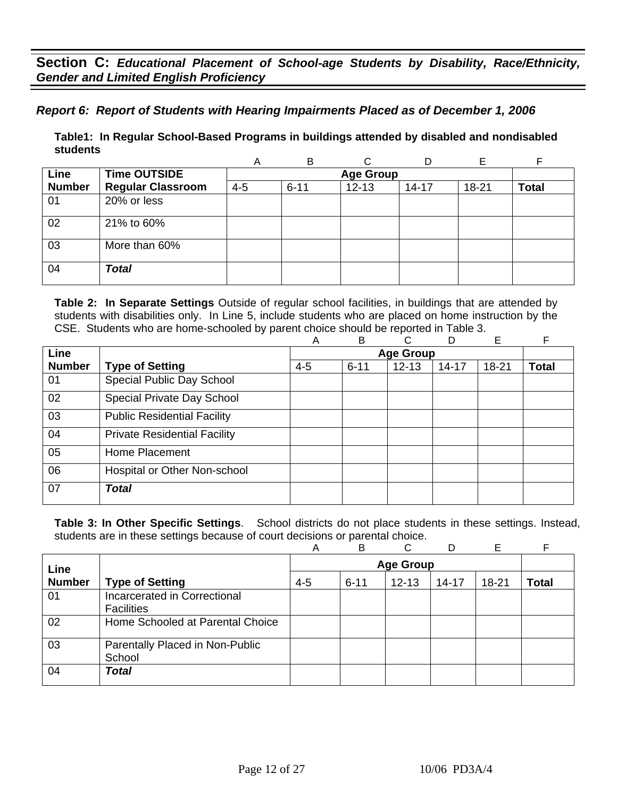## *Report 6: Report of Students with Hearing Impairments Placed as of December 1, 2006*

**Table1: In Regular School-Based Programs in buildings attended by disabled and nondisabled students** 

|               |                          | Α       | B                | ⌒         |           |       |              |  |  |  |
|---------------|--------------------------|---------|------------------|-----------|-----------|-------|--------------|--|--|--|
| Line          | <b>Time OUTSIDE</b>      |         | <b>Age Group</b> |           |           |       |              |  |  |  |
| <b>Number</b> | <b>Regular Classroom</b> | $4 - 5$ | $6 - 11$         | $12 - 13$ | $14 - 17$ | 18-21 | <b>Total</b> |  |  |  |
| 01            | 20% or less              |         |                  |           |           |       |              |  |  |  |
| 02            | 21% to 60%               |         |                  |           |           |       |              |  |  |  |
| 03            | More than 60%            |         |                  |           |           |       |              |  |  |  |
| 04            | <b>Total</b>             |         |                  |           |           |       |              |  |  |  |

**Table 2: In Separate Settings** Outside of regular school facilities, in buildings that are attended by students with disabilities only. In Line 5, include students who are placed on home instruction by the CSE. Students who are home-schooled by parent choice should be reported in Table 3.

|               |                                     | A       | B                | С         | D         | E     | F            |
|---------------|-------------------------------------|---------|------------------|-----------|-----------|-------|--------------|
| Line          |                                     |         | <b>Age Group</b> |           |           |       |              |
| <b>Number</b> | <b>Type of Setting</b>              | $4 - 5$ | $6 - 11$         | $12 - 13$ | $14 - 17$ | 18-21 | <b>Total</b> |
| 01            | Special Public Day School           |         |                  |           |           |       |              |
| 02            | Special Private Day School          |         |                  |           |           |       |              |
| 03            | <b>Public Residential Facility</b>  |         |                  |           |           |       |              |
| 04            | <b>Private Residential Facility</b> |         |                  |           |           |       |              |
| 05            | Home Placement                      |         |                  |           |           |       |              |
| 06            | Hospital or Other Non-school        |         |                  |           |           |       |              |
| 07            | <b>Total</b>                        |         |                  |           |           |       |              |
|               |                                     |         |                  |           |           |       |              |

|               |                                                   | Α       | B                | C         | D         | Е     |       |  |
|---------------|---------------------------------------------------|---------|------------------|-----------|-----------|-------|-------|--|
| Line          |                                                   |         | <b>Age Group</b> |           |           |       |       |  |
| <b>Number</b> | <b>Type of Setting</b>                            | $4 - 5$ | $6 - 11$         | $12 - 13$ | $14 - 17$ | 18-21 | Total |  |
| 01            | Incarcerated in Correctional<br><b>Facilities</b> |         |                  |           |           |       |       |  |
| 02            | Home Schooled at Parental Choice                  |         |                  |           |           |       |       |  |
| 03            | Parentally Placed in Non-Public<br>School         |         |                  |           |           |       |       |  |
| 04            | <b>Total</b>                                      |         |                  |           |           |       |       |  |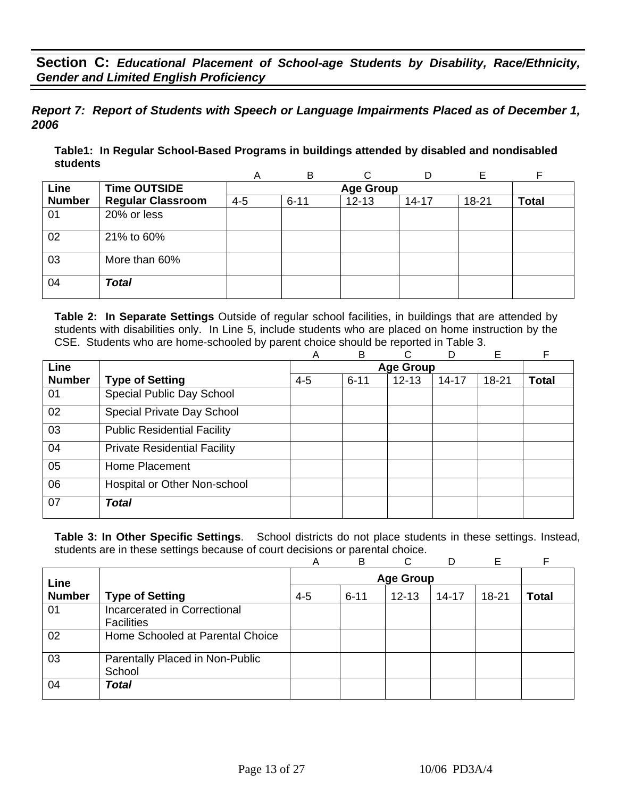*Report 7: Report of Students with Speech or Language Impairments Placed as of December 1, 2006*

**Table1: In Regular School-Based Programs in buildings attended by disabled and nondisabled students** 

|               |                          | Α       | B                |           |           | F     |              |  |  |  |
|---------------|--------------------------|---------|------------------|-----------|-----------|-------|--------------|--|--|--|
| Line          | <b>Time OUTSIDE</b>      |         | <b>Age Group</b> |           |           |       |              |  |  |  |
| <b>Number</b> | <b>Regular Classroom</b> | $4 - 5$ | $6 - 11$         | $12 - 13$ | $14 - 17$ | 18-21 | <b>Total</b> |  |  |  |
| 01            | 20% or less              |         |                  |           |           |       |              |  |  |  |
| 02            | 21% to 60%               |         |                  |           |           |       |              |  |  |  |
| 03            | More than 60%            |         |                  |           |           |       |              |  |  |  |
| 04            | <b>Total</b>             |         |                  |           |           |       |              |  |  |  |

**Table 2: In Separate Settings** Outside of regular school facilities, in buildings that are attended by students with disabilities only. In Line 5, include students who are placed on home instruction by the CSE. Students who are home-schooled by parent choice should be reported in Table 3.

|                                     |         |          | <b>Age Group</b> |           |           |              |
|-------------------------------------|---------|----------|------------------|-----------|-----------|--------------|
|                                     |         |          |                  |           |           |              |
| <b>Type of Setting</b>              | $4 - 5$ | $6 - 11$ | $12 - 13$        | $14 - 17$ | $18 - 21$ | <b>Total</b> |
| Special Public Day School           |         |          |                  |           |           |              |
| Special Private Day School          |         |          |                  |           |           |              |
| <b>Public Residential Facility</b>  |         |          |                  |           |           |              |
| <b>Private Residential Facility</b> |         |          |                  |           |           |              |
| Home Placement                      |         |          |                  |           |           |              |
| Hospital or Other Non-school        |         |          |                  |           |           |              |
| <b>Total</b>                        |         |          |                  |           |           |              |
|                                     |         |          |                  |           |           |              |

|               |                                                   | Α       | B        | C                | D         | Е         |       |
|---------------|---------------------------------------------------|---------|----------|------------------|-----------|-----------|-------|
| Line          |                                                   |         |          | <b>Age Group</b> |           |           |       |
| <b>Number</b> | <b>Type of Setting</b>                            | $4 - 5$ | $6 - 11$ | $12 - 13$        | $14 - 17$ | $18 - 21$ | Total |
| 01            | Incarcerated in Correctional<br><b>Facilities</b> |         |          |                  |           |           |       |
| 02            | Home Schooled at Parental Choice                  |         |          |                  |           |           |       |
| 03            | Parentally Placed in Non-Public<br>School         |         |          |                  |           |           |       |
| 04            | <b>Total</b>                                      |         |          |                  |           |           |       |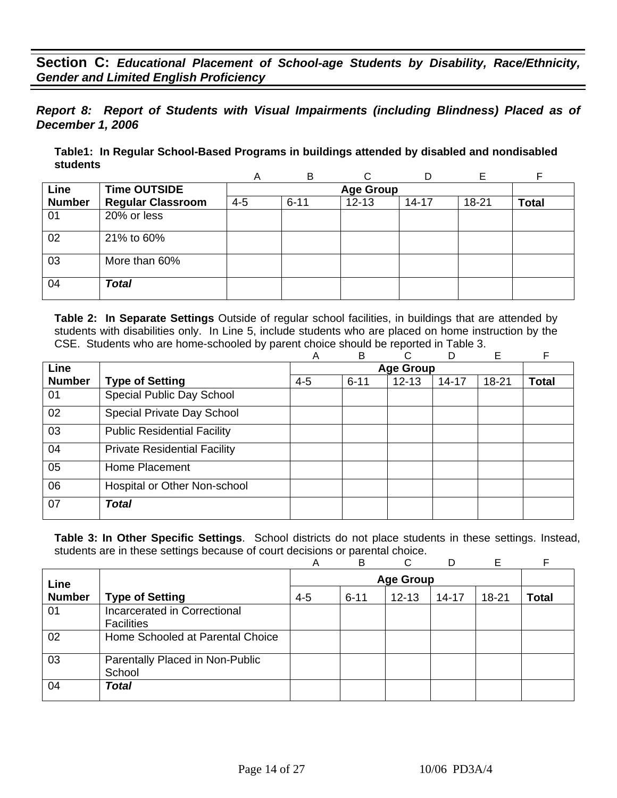*Report 8: Report of Students with Visual Impairments (including Blindness) Placed as of December 1, 2006* 

**Table1: In Regular School-Based Programs in buildings attended by disabled and nondisabled students** 

|               |                          | Α       | B        |                  | D         | F     | F            |
|---------------|--------------------------|---------|----------|------------------|-----------|-------|--------------|
| Line          | <b>Time OUTSIDE</b>      |         |          | <b>Age Group</b> |           |       |              |
| <b>Number</b> | <b>Regular Classroom</b> | $4 - 5$ | $6 - 11$ | $12 - 13$        | $14 - 17$ | 18-21 | <b>Total</b> |
| 01            | 20% or less              |         |          |                  |           |       |              |
| 02            | 21% to 60%               |         |          |                  |           |       |              |
| 03            | More than 60%            |         |          |                  |           |       |              |
| 04            | <b>Total</b>             |         |          |                  |           |       |              |

**Table 2: In Separate Settings** Outside of regular school facilities, in buildings that are attended by students with disabilities only. In Line 5, include students who are placed on home instruction by the CSE. Students who are home-schooled by parent choice should be reported in Table 3.

|               |                                     | Α       | B        | C.               | D         | Е         | F            |
|---------------|-------------------------------------|---------|----------|------------------|-----------|-----------|--------------|
| Line          |                                     |         |          | <b>Age Group</b> |           |           |              |
| <b>Number</b> | <b>Type of Setting</b>              | $4 - 5$ | $6 - 11$ | $12 - 13$        | $14 - 17$ | $18 - 21$ | <b>Total</b> |
| 01            | Special Public Day School           |         |          |                  |           |           |              |
| 02            | Special Private Day School          |         |          |                  |           |           |              |
| 03            | <b>Public Residential Facility</b>  |         |          |                  |           |           |              |
| 04            | <b>Private Residential Facility</b> |         |          |                  |           |           |              |
| 05            | Home Placement                      |         |          |                  |           |           |              |
| 06            | Hospital or Other Non-school        |         |          |                  |           |           |              |
| 07            | <b>Total</b>                        |         |          |                  |           |           |              |

|               |                                                   | Α       | B                | C         | D         | Е         |       |  |
|---------------|---------------------------------------------------|---------|------------------|-----------|-----------|-----------|-------|--|
| Line          |                                                   |         | <b>Age Group</b> |           |           |           |       |  |
| <b>Number</b> | <b>Type of Setting</b>                            | $4 - 5$ | $6 - 11$         | $12 - 13$ | $14 - 17$ | $18 - 21$ | Total |  |
| 01            | Incarcerated in Correctional<br><b>Facilities</b> |         |                  |           |           |           |       |  |
| 02            | Home Schooled at Parental Choice                  |         |                  |           |           |           |       |  |
| 03            | Parentally Placed in Non-Public<br>School         |         |                  |           |           |           |       |  |
| 04            | <b>Total</b>                                      |         |                  |           |           |           |       |  |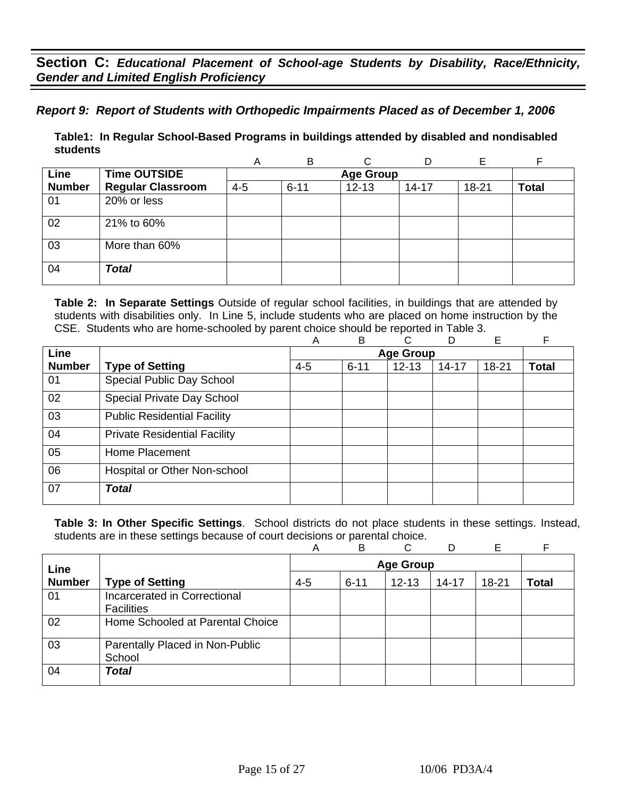*Report 9: Report of Students with Orthopedic Impairments Placed as of December 1, 2006*

**Table1: In Regular School-Based Programs in buildings attended by disabled and nondisabled students** 

|               |                          | Α       | B        | ⌒                |           |       |              |
|---------------|--------------------------|---------|----------|------------------|-----------|-------|--------------|
| Line          | <b>Time OUTSIDE</b>      |         |          | <b>Age Group</b> |           |       |              |
| <b>Number</b> | <b>Regular Classroom</b> | $4 - 5$ | $6 - 11$ | $12 - 13$        | $14 - 17$ | 18-21 | <b>Total</b> |
| 01            | 20% or less              |         |          |                  |           |       |              |
| 02            | 21% to 60%               |         |          |                  |           |       |              |
| 03            | More than 60%            |         |          |                  |           |       |              |
| 04            | <b>Total</b>             |         |          |                  |           |       |              |

**Table 2: In Separate Settings** Outside of regular school facilities, in buildings that are attended by students with disabilities only. In Line 5, include students who are placed on home instruction by the CSE. Students who are home-schooled by parent choice should be reported in Table 3.

|               |                                     | A       | B        | С                | D         | E     | F            |
|---------------|-------------------------------------|---------|----------|------------------|-----------|-------|--------------|
| Line          |                                     |         |          | <b>Age Group</b> |           |       |              |
| <b>Number</b> | <b>Type of Setting</b>              | $4 - 5$ | $6 - 11$ | $12 - 13$        | $14 - 17$ | 18-21 | <b>Total</b> |
| 01            | Special Public Day School           |         |          |                  |           |       |              |
| 02            | Special Private Day School          |         |          |                  |           |       |              |
| 03            | <b>Public Residential Facility</b>  |         |          |                  |           |       |              |
| 04            | <b>Private Residential Facility</b> |         |          |                  |           |       |              |
| 05            | Home Placement                      |         |          |                  |           |       |              |
| 06            | Hospital or Other Non-school        |         |          |                  |           |       |              |
| 07            | <b>Total</b>                        |         |          |                  |           |       |              |
|               |                                     |         |          |                  |           |       |              |

|               |                                                   | Α       | B                | C         | D         | Е     |       |  |
|---------------|---------------------------------------------------|---------|------------------|-----------|-----------|-------|-------|--|
| Line          |                                                   |         | <b>Age Group</b> |           |           |       |       |  |
| <b>Number</b> | <b>Type of Setting</b>                            | $4 - 5$ | $6 - 11$         | $12 - 13$ | $14 - 17$ | 18-21 | Total |  |
| 01            | Incarcerated in Correctional<br><b>Facilities</b> |         |                  |           |           |       |       |  |
| 02            | Home Schooled at Parental Choice                  |         |                  |           |           |       |       |  |
| 03            | Parentally Placed in Non-Public<br>School         |         |                  |           |           |       |       |  |
| 04            | <b>Total</b>                                      |         |                  |           |           |       |       |  |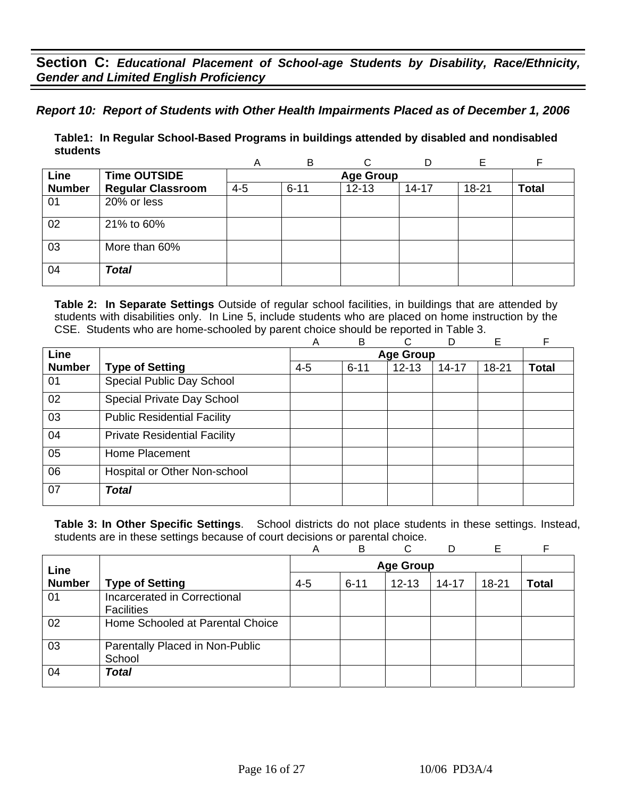*Report 10: Report of Students with Other Health Impairments Placed as of December 1, 2006* 

**Table1: In Regular School-Based Programs in buildings attended by disabled and nondisabled students** 

|               |                          | Α       | B        | ⌒                |           |       |              |
|---------------|--------------------------|---------|----------|------------------|-----------|-------|--------------|
| Line          | <b>Time OUTSIDE</b>      |         |          | <b>Age Group</b> |           |       |              |
| <b>Number</b> | <b>Regular Classroom</b> | $4 - 5$ | $6 - 11$ | $12 - 13$        | $14 - 17$ | 18-21 | <b>Total</b> |
| 01            | 20% or less              |         |          |                  |           |       |              |
| 02            | 21% to 60%               |         |          |                  |           |       |              |
| 03            | More than 60%            |         |          |                  |           |       |              |
| 04            | <b>Total</b>             |         |          |                  |           |       |              |

**Table 2: In Separate Settings** Outside of regular school facilities, in buildings that are attended by students with disabilities only. In Line 5, include students who are placed on home instruction by the CSE. Students who are home-schooled by parent choice should be reported in Table 3.

|               |                                     | Α       | B        | С                | D     | E         |              |
|---------------|-------------------------------------|---------|----------|------------------|-------|-----------|--------------|
| Line          |                                     |         |          | <b>Age Group</b> |       |           |              |
| <b>Number</b> | <b>Type of Setting</b>              | $4 - 5$ | $6 - 11$ | $12 - 13$        | 14-17 | $18 - 21$ | <b>Total</b> |
| 01            | Special Public Day School           |         |          |                  |       |           |              |
| 02            | Special Private Day School          |         |          |                  |       |           |              |
| 03            | <b>Public Residential Facility</b>  |         |          |                  |       |           |              |
| 04            | <b>Private Residential Facility</b> |         |          |                  |       |           |              |
| 05            | Home Placement                      |         |          |                  |       |           |              |
| 06            | Hospital or Other Non-school        |         |          |                  |       |           |              |
| 07            | <b>Total</b>                        |         |          |                  |       |           |              |

|               |                                                   | Α       | B                | C.        | D         | Е         |       |  |
|---------------|---------------------------------------------------|---------|------------------|-----------|-----------|-----------|-------|--|
| Line          |                                                   |         | <b>Age Group</b> |           |           |           |       |  |
| <b>Number</b> | <b>Type of Setting</b>                            | $4 - 5$ | $6 - 11$         | $12 - 13$ | $14 - 17$ | $18 - 21$ | Total |  |
| 01            | Incarcerated in Correctional<br><b>Facilities</b> |         |                  |           |           |           |       |  |
| 02            | Home Schooled at Parental Choice                  |         |                  |           |           |           |       |  |
| 03            | Parentally Placed in Non-Public<br>School         |         |                  |           |           |           |       |  |
| 04            | <b>Total</b>                                      |         |                  |           |           |           |       |  |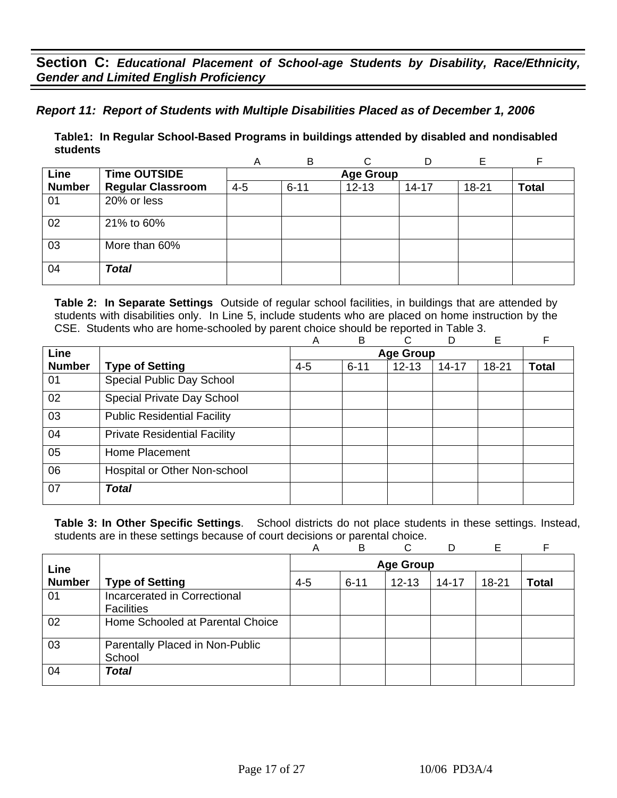## *Report 11: Report of Students with Multiple Disabilities Placed as of December 1, 2006*

**Table1: In Regular School-Based Programs in buildings attended by disabled and nondisabled students** 

|               |                          | Α       | B        | ⌒                |           |       |              |
|---------------|--------------------------|---------|----------|------------------|-----------|-------|--------------|
| Line          | <b>Time OUTSIDE</b>      |         |          | <b>Age Group</b> |           |       |              |
| <b>Number</b> | <b>Regular Classroom</b> | $4 - 5$ | $6 - 11$ | $12 - 13$        | $14 - 17$ | 18-21 | <b>Total</b> |
| 01            | 20% or less              |         |          |                  |           |       |              |
| 02            | 21% to 60%               |         |          |                  |           |       |              |
| 03            | More than 60%            |         |          |                  |           |       |              |
| 04            | <b>Total</b>             |         |          |                  |           |       |              |

**Table 2: In Separate Settings** Outside of regular school facilities, in buildings that are attended by students with disabilities only. In Line 5, include students who are placed on home instruction by the CSE. Students who are home-schooled by parent choice should be reported in Table 3.

|               |                                     | A       | B        | С                | D         | E     | F            |
|---------------|-------------------------------------|---------|----------|------------------|-----------|-------|--------------|
| Line          |                                     |         |          | <b>Age Group</b> |           |       |              |
| <b>Number</b> | <b>Type of Setting</b>              | $4 - 5$ | $6 - 11$ | $12 - 13$        | $14 - 17$ | 18-21 | <b>Total</b> |
| 01            | Special Public Day School           |         |          |                  |           |       |              |
| 02            | Special Private Day School          |         |          |                  |           |       |              |
| 03            | <b>Public Residential Facility</b>  |         |          |                  |           |       |              |
| 04            | <b>Private Residential Facility</b> |         |          |                  |           |       |              |
| 05            | Home Placement                      |         |          |                  |           |       |              |
| 06            | Hospital or Other Non-school        |         |          |                  |           |       |              |
| 07            | <b>Total</b>                        |         |          |                  |           |       |              |
|               |                                     |         |          |                  |           |       |              |

|               |                                                   | Α       | B                | C.        | D         | Е         |       |  |
|---------------|---------------------------------------------------|---------|------------------|-----------|-----------|-----------|-------|--|
| Line          |                                                   |         | <b>Age Group</b> |           |           |           |       |  |
| <b>Number</b> | <b>Type of Setting</b>                            | $4 - 5$ | $6 - 11$         | $12 - 13$ | $14 - 17$ | $18 - 21$ | Total |  |
| 01            | Incarcerated in Correctional<br><b>Facilities</b> |         |                  |           |           |           |       |  |
| 02            | Home Schooled at Parental Choice                  |         |                  |           |           |           |       |  |
| 03            | Parentally Placed in Non-Public<br>School         |         |                  |           |           |           |       |  |
| 04            | <b>Total</b>                                      |         |                  |           |           |           |       |  |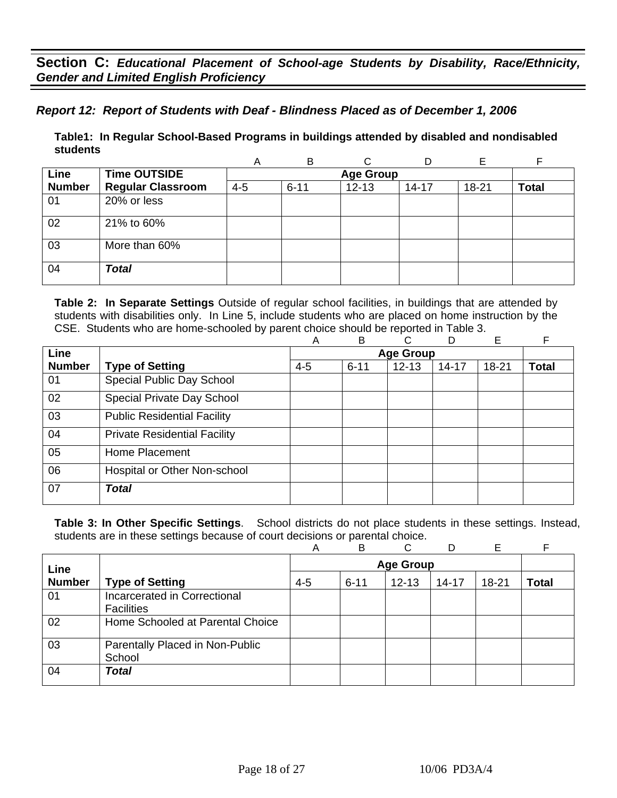## *Report 12: Report of Students with Deaf - Blindness Placed as of December 1, 2006*

**Table1: In Regular School-Based Programs in buildings attended by disabled and nondisabled students** 

|               |                          | Α       | B        | C                |           |       |              |
|---------------|--------------------------|---------|----------|------------------|-----------|-------|--------------|
| Line          | <b>Time OUTSIDE</b>      |         |          | <b>Age Group</b> |           |       |              |
| <b>Number</b> | <b>Regular Classroom</b> | $4 - 5$ | $6 - 11$ | $12 - 13$        | $14 - 17$ | 18-21 | <b>Total</b> |
| 01            | 20% or less              |         |          |                  |           |       |              |
| 02            | 21% to 60%               |         |          |                  |           |       |              |
| 03            | More than 60%            |         |          |                  |           |       |              |
| 04            | <b>Total</b>             |         |          |                  |           |       |              |

**Table 2: In Separate Settings** Outside of regular school facilities, in buildings that are attended by students with disabilities only. In Line 5, include students who are placed on home instruction by the CSE. Students who are home-schooled by parent choice should be reported in Table 3.

|               |                                     | A       | B                | С         | D         | E         |              |  |
|---------------|-------------------------------------|---------|------------------|-----------|-----------|-----------|--------------|--|
| Line          |                                     |         | <b>Age Group</b> |           |           |           |              |  |
| <b>Number</b> | <b>Type of Setting</b>              | $4 - 5$ | $6 - 11$         | $12 - 13$ | $14 - 17$ | $18 - 21$ | <b>Total</b> |  |
| 01            | Special Public Day School           |         |                  |           |           |           |              |  |
| 02            | Special Private Day School          |         |                  |           |           |           |              |  |
| 03            | <b>Public Residential Facility</b>  |         |                  |           |           |           |              |  |
| 04            | <b>Private Residential Facility</b> |         |                  |           |           |           |              |  |
| 05            | Home Placement                      |         |                  |           |           |           |              |  |
| 06            | Hospital or Other Non-school        |         |                  |           |           |           |              |  |
| 07            | <b>Total</b>                        |         |                  |           |           |           |              |  |

|               |                                                   | A                | B        | C         | D         | Е     |       |
|---------------|---------------------------------------------------|------------------|----------|-----------|-----------|-------|-------|
| Line          |                                                   | <b>Age Group</b> |          |           |           |       |       |
| <b>Number</b> | <b>Type of Setting</b>                            | $4 - 5$          | $6 - 11$ | $12 - 13$ | $14 - 17$ | 18-21 | Total |
| 01            | Incarcerated in Correctional<br><b>Facilities</b> |                  |          |           |           |       |       |
| 02            | Home Schooled at Parental Choice                  |                  |          |           |           |       |       |
| 03            | Parentally Placed in Non-Public<br>School         |                  |          |           |           |       |       |
| 04            | <b>Total</b>                                      |                  |          |           |           |       |       |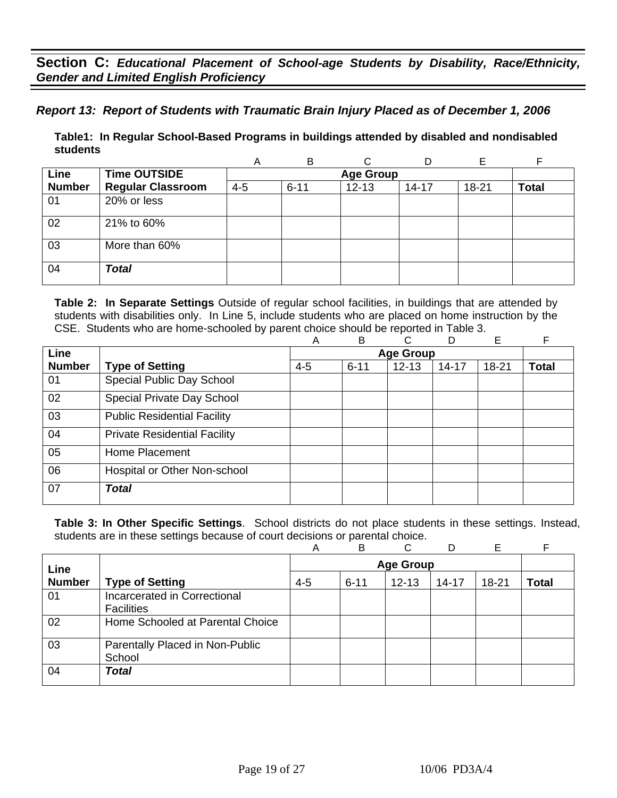## *Report 13: Report of Students with Traumatic Brain Injury Placed as of December 1, 2006*

**Table1: In Regular School-Based Programs in buildings attended by disabled and nondisabled students** 

|               |                          | Α       | B        | ⌒                |           |       |              |
|---------------|--------------------------|---------|----------|------------------|-----------|-------|--------------|
| Line          | <b>Time OUTSIDE</b>      |         |          | <b>Age Group</b> |           |       |              |
| <b>Number</b> | <b>Regular Classroom</b> | $4 - 5$ | $6 - 11$ | $12 - 13$        | $14 - 17$ | 18-21 | <b>Total</b> |
| 01            | 20% or less              |         |          |                  |           |       |              |
| 02            | 21% to 60%               |         |          |                  |           |       |              |
| 03            | More than 60%            |         |          |                  |           |       |              |
| 04            | <b>Total</b>             |         |          |                  |           |       |              |

**Table 2: In Separate Settings** Outside of regular school facilities, in buildings that are attended by students with disabilities only. In Line 5, include students who are placed on home instruction by the CSE. Students who are home-schooled by parent choice should be reported in Table 3.

|               |                                     | A       | B        | С                | D         | E     | F            |
|---------------|-------------------------------------|---------|----------|------------------|-----------|-------|--------------|
| Line          |                                     |         |          | <b>Age Group</b> |           |       |              |
| <b>Number</b> | <b>Type of Setting</b>              | $4 - 5$ | $6 - 11$ | $12 - 13$        | $14 - 17$ | 18-21 | <b>Total</b> |
| 01            | Special Public Day School           |         |          |                  |           |       |              |
| 02            | Special Private Day School          |         |          |                  |           |       |              |
| 03            | <b>Public Residential Facility</b>  |         |          |                  |           |       |              |
| 04            | <b>Private Residential Facility</b> |         |          |                  |           |       |              |
| 05            | Home Placement                      |         |          |                  |           |       |              |
| 06            | Hospital or Other Non-school        |         |          |                  |           |       |              |
| 07            | <b>Total</b>                        |         |          |                  |           |       |              |
|               |                                     |         |          |                  |           |       |              |

|               |                                                   | Α       | B                | C         | D         | Е     |       |
|---------------|---------------------------------------------------|---------|------------------|-----------|-----------|-------|-------|
| Line          |                                                   |         | <b>Age Group</b> |           |           |       |       |
| <b>Number</b> | <b>Type of Setting</b>                            | $4 - 5$ | $6 - 11$         | $12 - 13$ | $14 - 17$ | 18-21 | Total |
| 01            | Incarcerated in Correctional<br><b>Facilities</b> |         |                  |           |           |       |       |
| 02            | Home Schooled at Parental Choice                  |         |                  |           |           |       |       |
| 03            | Parentally Placed in Non-Public<br>School         |         |                  |           |           |       |       |
| 04            | <b>Total</b>                                      |         |                  |           |           |       |       |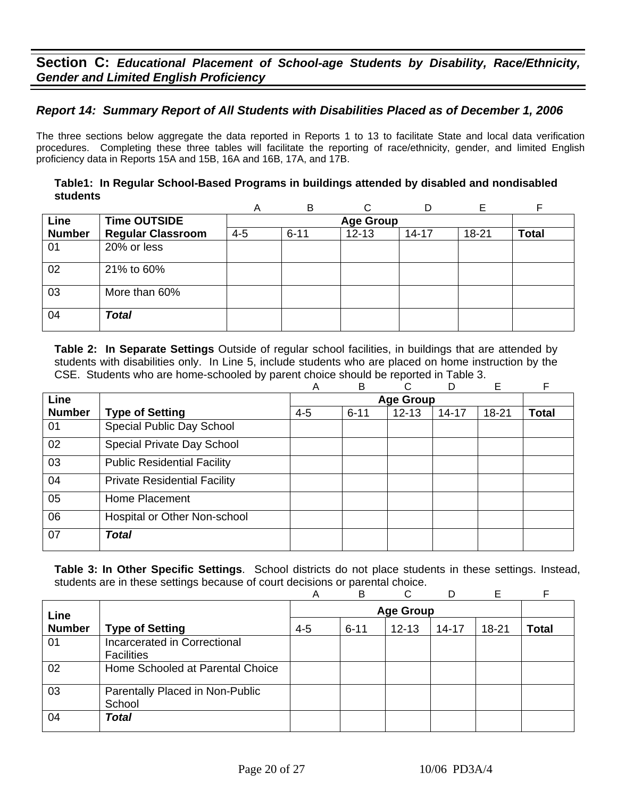## *Report 14: Summary Report of All Students with Disabilities Placed as of December 1, 2006*

The three sections below aggregate the data reported in Reports 1 to 13 to facilitate State and local data verification procedures. Completing these three tables will facilitate the reporting of race/ethnicity, gender, and limited English proficiency data in Reports 15A and 15B, 16A and 16B, 17A, and 17B.

### **Table1: In Regular School-Based Programs in buildings attended by disabled and nondisabled students**

|               |                          | Α       | B        |                  | D         | F     | F            |
|---------------|--------------------------|---------|----------|------------------|-----------|-------|--------------|
| Line          | <b>Time OUTSIDE</b>      |         |          | <b>Age Group</b> |           |       |              |
| <b>Number</b> | <b>Regular Classroom</b> | $4 - 5$ | $6 - 11$ | $12 - 13$        | $14 - 17$ | 18-21 | <b>Total</b> |
| 01            | 20% or less              |         |          |                  |           |       |              |
| 02            | 21% to 60%               |         |          |                  |           |       |              |
| 03            | More than 60%            |         |          |                  |           |       |              |
| 04            | <b>Total</b>             |         |          |                  |           |       |              |

**Table 2: In Separate Settings** Outside of regular school facilities, in buildings that are attended by students with disabilities only. In Line 5, include students who are placed on home instruction by the CSE. Students who are home-schooled by parent choice should be reported in Table 3.

|               |                                     | Α       | B        | C                | D         | Е         | F            |
|---------------|-------------------------------------|---------|----------|------------------|-----------|-----------|--------------|
| <b>Line</b>   |                                     |         |          | <b>Age Group</b> |           |           |              |
| <b>Number</b> | <b>Type of Setting</b>              | $4 - 5$ | $6 - 11$ | $12 - 13$        | $14 - 17$ | $18 - 21$ | <b>Total</b> |
| 01            | Special Public Day School           |         |          |                  |           |           |              |
| 02            | Special Private Day School          |         |          |                  |           |           |              |
| 03            | <b>Public Residential Facility</b>  |         |          |                  |           |           |              |
| 04            | <b>Private Residential Facility</b> |         |          |                  |           |           |              |
| 05            | Home Placement                      |         |          |                  |           |           |              |
| 06            | Hospital or Other Non-school        |         |          |                  |           |           |              |
| 07            | <b>Total</b>                        |         |          |                  |           |           |              |

|               |                                                   | Α       | B                | C         | D         | E     |              |  |
|---------------|---------------------------------------------------|---------|------------------|-----------|-----------|-------|--------------|--|
| Line          |                                                   |         | <b>Age Group</b> |           |           |       |              |  |
| <b>Number</b> | <b>Type of Setting</b>                            | $4 - 5$ | $6 - 11$         | $12 - 13$ | $14 - 17$ | 18-21 | <b>Total</b> |  |
| 01            | Incarcerated in Correctional<br><b>Facilities</b> |         |                  |           |           |       |              |  |
| 02            | Home Schooled at Parental Choice                  |         |                  |           |           |       |              |  |
| 03            | Parentally Placed in Non-Public<br>School         |         |                  |           |           |       |              |  |
| 04            | <b>Total</b>                                      |         |                  |           |           |       |              |  |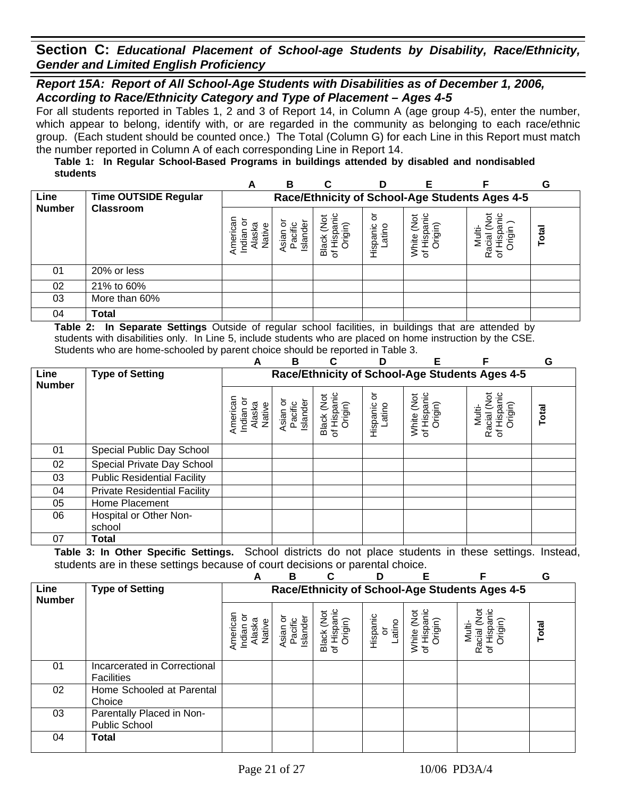### *Report 15A: Report of All School-Age Students with Disabilities as of December 1, 2006, According to Race/Ethnicity Category and Type of Placement – Ages 4-5*

For all students reported in Tables 1, 2 and 3 of Report 14, in Column A (age group 4-5), enter the number, which appear to belong, identify with, or are regarded in the community as belonging to each race/ethnic group. (Each student should be counted once.) The Total (Column G) for each Line in this Report must match the number reported in Column A of each corresponding Line in Report 14.

#### **Table 1: In Regular School-Based Programs in buildings attended by disabled and nondisabled students**

|               |                      | A                                                                     | в                               | С       |                        | F                                       |                                                | G     |
|---------------|----------------------|-----------------------------------------------------------------------|---------------------------------|---------|------------------------|-----------------------------------------|------------------------------------------------|-------|
| Line          | Time OUTSIDE Regular |                                                                       |                                 |         |                        |                                         | Race/Ethnicity of School-Age Students Ages 4-5 |       |
| <b>Number</b> | <b>Classroom</b>     | Americai<br>o<br>ā<br>Φ<br>Indian<br>$\overline{\mathsf{a}}$<br>Jati∖ | Islande<br><b>Sian</b><br>Pacif | Вã<br>৳ | ৯<br>Hispanic<br>atino | '≒<br>ş<br>rigin)<br>ispa<br>air<br>≥ స | ఈ<br>त्व<br>ഗ<br>Ra<br>৳                       | Total |
| 01            | 20% or less          |                                                                       |                                 |         |                        |                                         |                                                |       |
| 02            | 21% to 60%           |                                                                       |                                 |         |                        |                                         |                                                |       |
| 03            | More than 60%        |                                                                       |                                 |         |                        |                                         |                                                |       |
| 04            | Total                |                                                                       |                                 |         |                        |                                         |                                                |       |

**Table 2: In Separate Settings** Outside of regular school facilities, in buildings that are attended by students with disabilities only. In Line 5, include students who are placed on home instruction by the CSE. Students who are home-schooled by parent choice should be reported in Table 3.

|                       | . <i>.</i>                          | A                                         | В                                              |                                      | D                       | Е                                    |                                                 | G     |  |  |
|-----------------------|-------------------------------------|-------------------------------------------|------------------------------------------------|--------------------------------------|-------------------------|--------------------------------------|-------------------------------------------------|-------|--|--|
| Line<br><b>Number</b> | <b>Type of Setting</b>              |                                           | Race/Ethnicity of School-Age Students Ages 4-5 |                                      |                         |                                      |                                                 |       |  |  |
|                       |                                     | American<br>Indian or<br>Alaska<br>Native | Asian or<br>Pacific<br>Islander                | Black (Not<br>of Hispanic<br>Origin) | 5<br>Hispanic<br>Latino | of Hispanic<br>Origin)<br>White (Not | of Hispanic<br>Origin)<br>Racial (Not<br>Multi- | Total |  |  |
| 01                    | Special Public Day School           |                                           |                                                |                                      |                         |                                      |                                                 |       |  |  |
| 02                    | Special Private Day School          |                                           |                                                |                                      |                         |                                      |                                                 |       |  |  |
| 03                    | <b>Public Residential Facility</b>  |                                           |                                                |                                      |                         |                                      |                                                 |       |  |  |
| 04                    | <b>Private Residential Facility</b> |                                           |                                                |                                      |                         |                                      |                                                 |       |  |  |
| 05                    | Home Placement                      |                                           |                                                |                                      |                         |                                      |                                                 |       |  |  |
| 06                    | Hospital or Other Non-              |                                           |                                                |                                      |                         |                                      |                                                 |       |  |  |
|                       | school                              |                                           |                                                |                                      |                         |                                      |                                                 |       |  |  |
| 07                    | Total                               |                                           |                                                |                                      |                         |                                      |                                                 |       |  |  |

|                       |                                                   | А                                         | B                                              |                                      | D                        |                                      | F                                                              | G     |  |  |  |
|-----------------------|---------------------------------------------------|-------------------------------------------|------------------------------------------------|--------------------------------------|--------------------------|--------------------------------------|----------------------------------------------------------------|-------|--|--|--|
| Line<br><b>Number</b> | <b>Type of Setting</b>                            |                                           | Race/Ethnicity of School-Age Students Ages 4-5 |                                      |                          |                                      |                                                                |       |  |  |  |
|                       |                                                   | American<br>Indian or<br>Alaska<br>Native | ō<br>Islander<br>Pacific<br>Asian              | Black (Not<br>of Hispanic<br>Origin) | Hispanic<br>or<br>Latino | White (Not<br>of Hispanic<br>Origin) | ğ<br>Hispanic<br>Origin)<br>Multi-<br>Racial<br>$\overline{5}$ | Total |  |  |  |
| 01                    | Incarcerated in Correctional<br><b>Facilities</b> |                                           |                                                |                                      |                          |                                      |                                                                |       |  |  |  |
| 02                    | Home Schooled at Parental<br>Choice               |                                           |                                                |                                      |                          |                                      |                                                                |       |  |  |  |
| 03                    | Parentally Placed in Non-<br><b>Public School</b> |                                           |                                                |                                      |                          |                                      |                                                                |       |  |  |  |
| 04                    | Total                                             |                                           |                                                |                                      |                          |                                      |                                                                |       |  |  |  |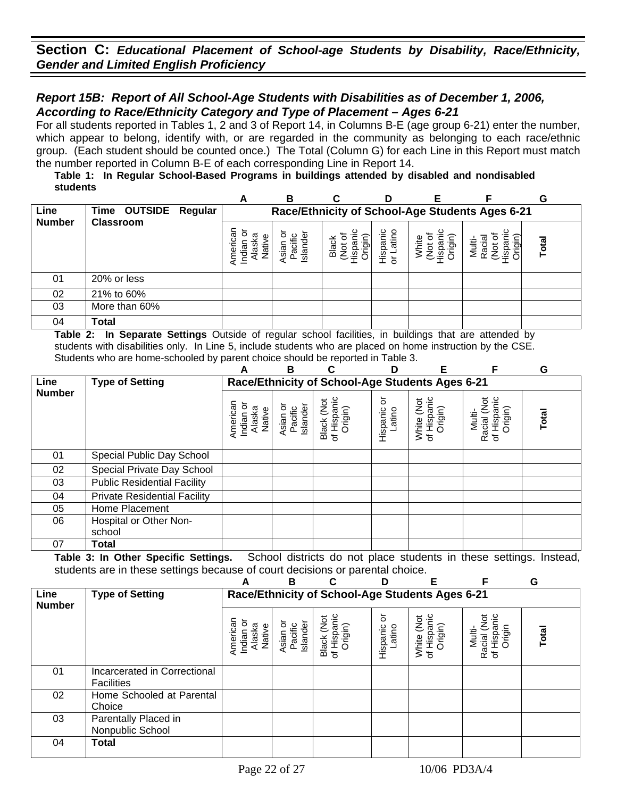### *Report 15B: Report of All School-Age Students with Disabilities as of December 1, 2006, According to Race/Ethnicity Category and Type of Placement – Ages 6-21*

For all students reported in Tables 1, 2 and 3 of Report 14, in Columns B-E (age group 6-21) enter the number, which appear to belong, identify with, or are regarded in the community as belonging to each race/ethnic group. (Each student should be counted once.) The Total (Column G) for each Line in this Report must match the number reported in Column B-E of each corresponding Line in Report 14.

#### **Table 1: In Regular School-Based Programs in buildings attended by disabled and nondisabled students**

|               |                      | A                                                       | в                                               | C                          | D                      |                           |                       | G     |  |  |  |  |
|---------------|----------------------|---------------------------------------------------------|-------------------------------------------------|----------------------------|------------------------|---------------------------|-----------------------|-------|--|--|--|--|
| Line          | Time OUTSIDE Regular |                                                         | Race/Ethnicity of School-Age Students Ages 6-21 |                            |                        |                           |                       |       |  |  |  |  |
| <b>Number</b> | <b>Classroom</b>     | శ్ర<br>ō<br>ത്ര<br>φ<br>Indiar<br>ge<br>.<br>≌<br>Ameri | Island<br><b>Asian</b><br>Pacifi                | Black<br>iği<br>န္မွာ<br>ğ | atino<br>Hispanic<br>ð | )rigin)<br>눋<br>₫<br>lisp | Multi-<br>မ္က<br>egil | Total |  |  |  |  |
| 01            | 20% or less          |                                                         |                                                 |                            |                        |                           |                       |       |  |  |  |  |
| 02            | 21% to 60%           |                                                         |                                                 |                            |                        |                           |                       |       |  |  |  |  |
| 03            | More than 60%        |                                                         |                                                 |                            |                        |                           |                       |       |  |  |  |  |
| 04            | Total                |                                                         |                                                 |                            |                        |                           |                       |       |  |  |  |  |

**Table 2: In Separate Settings** Outside of regular school facilities, in buildings that are attended by students with disabilities only. In Line 5, include students who are placed on home instruction by the CSE. Students who are home-schooled by parent choice should be reported in Table 3.

|               |                                     | Е<br>G<br>D<br>В<br>C<br>А                |                                 |                                                 |                         |                                      |                                                 |              |  |  |  |  |  |
|---------------|-------------------------------------|-------------------------------------------|---------------------------------|-------------------------------------------------|-------------------------|--------------------------------------|-------------------------------------------------|--------------|--|--|--|--|--|
| Line          | <b>Type of Setting</b>              |                                           |                                 | Race/Ethnicity of School-Age Students Ages 6-21 |                         |                                      |                                                 |              |  |  |  |  |  |
| <b>Number</b> |                                     | American<br>Indian or<br>Alaska<br>Native | Asian or<br>Pacific<br>Islander | of Hispanic<br>Black (Not<br>Origin)            | ŏ<br>Hispanic<br>Latino | of Hispanic<br>White (Not<br>Origin) | Racial (Not<br>of Hispanic<br>Origin)<br>Multi- | <b>Total</b> |  |  |  |  |  |
| 01            | Special Public Day School           |                                           |                                 |                                                 |                         |                                      |                                                 |              |  |  |  |  |  |
| 02            | Special Private Day School          |                                           |                                 |                                                 |                         |                                      |                                                 |              |  |  |  |  |  |
| 03            | <b>Public Residential Facility</b>  |                                           |                                 |                                                 |                         |                                      |                                                 |              |  |  |  |  |  |
| 04            | <b>Private Residential Facility</b> |                                           |                                 |                                                 |                         |                                      |                                                 |              |  |  |  |  |  |
| 05            | Home Placement                      |                                           |                                 |                                                 |                         |                                      |                                                 |              |  |  |  |  |  |
| 06            | Hospital or Other Non-              |                                           |                                 |                                                 |                         |                                      |                                                 |              |  |  |  |  |  |
|               | school                              |                                           |                                 |                                                 |                         |                                      |                                                 |              |  |  |  |  |  |
| 07            | Total                               |                                           |                                 |                                                 |                         |                                      |                                                 |              |  |  |  |  |  |

|                       |                                                   | А                                         | в                               | C                                               | ח                      | F                                              | F                                                 | G     |
|-----------------------|---------------------------------------------------|-------------------------------------------|---------------------------------|-------------------------------------------------|------------------------|------------------------------------------------|---------------------------------------------------|-------|
| Line<br><b>Number</b> | <b>Type of Setting</b>                            |                                           |                                 | Race/Ethnicity of School-Age Students Ages 6-21 |                        |                                                |                                                   |       |
|                       |                                                   | Americar<br>Indian or<br>Alaska<br>Native | Asian or<br>Pacific<br>Islander | Black (Not<br>of Hispanic<br>Origin)            | ১<br>Hispanic<br>atino | Hispanic<br>Origin)<br><b>DR</b><br>White<br>৳ | Racial (Not<br>Hispanic<br>Origin<br>Nulti-<br>'ত | Total |
| 01                    | Incarcerated in Correctional<br><b>Facilities</b> |                                           |                                 |                                                 |                        |                                                |                                                   |       |
| 02                    | Home Schooled at Parental<br>Choice               |                                           |                                 |                                                 |                        |                                                |                                                   |       |
| 03                    | Parentally Placed in<br>Nonpublic School          |                                           |                                 |                                                 |                        |                                                |                                                   |       |
| 04                    | <b>Total</b>                                      |                                           |                                 |                                                 |                        |                                                |                                                   |       |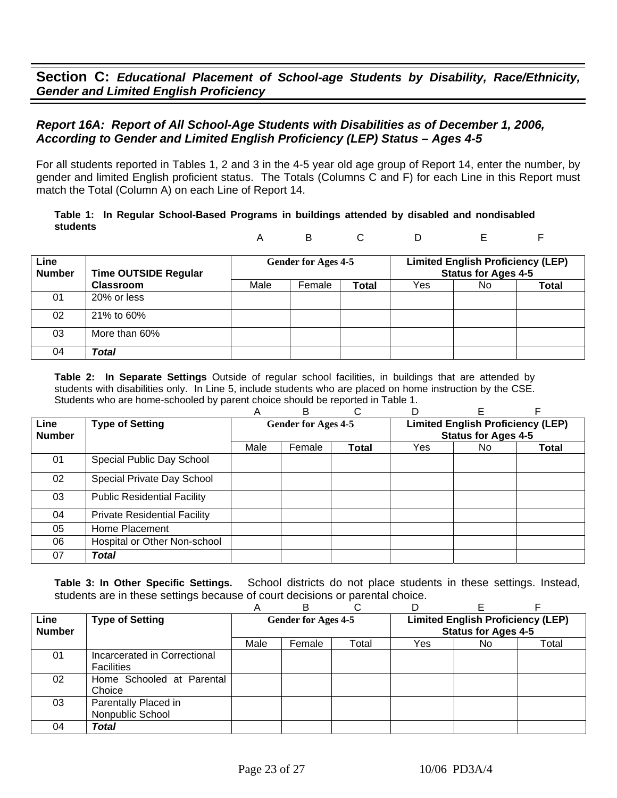## *Report 16A: Report of All School-Age Students with Disabilities as of December 1, 2006, According to Gender and Limited English Proficiency (LEP) Status – Ages 4-5*

For all students reported in Tables 1, 2 and 3 in the 4-5 year old age group of Report 14, enter the number, by gender and limited English proficient status. The Totals (Columns C and F) for each Line in this Report must match the Total (Column A) on each Line of Report 14.

#### **Table 1: In Regular School-Based Programs in buildings attended by disabled and nondisabled students**

A B C D E F

| Line<br><b>Number</b> | <b>Time OUTSIDE Regular</b> |      | Gender for Ages 4-5 |              | <b>Limited English Proficiency (LEP)</b><br><b>Status for Ages 4-5</b> |     |              |  |
|-----------------------|-----------------------------|------|---------------------|--------------|------------------------------------------------------------------------|-----|--------------|--|
|                       | <b>Classroom</b>            | Male | Female              | <b>Total</b> | Yes                                                                    | No. | <b>Total</b> |  |
| 01                    | 20% or less                 |      |                     |              |                                                                        |     |              |  |
| 02                    | 21% to 60%                  |      |                     |              |                                                                        |     |              |  |
| 03                    | More than 60%               |      |                     |              |                                                                        |     |              |  |
| 04                    | Total                       |      |                     |              |                                                                        |     |              |  |

**Table 2: In Separate Settings** Outside of regular school facilities, in buildings that are attended by students with disabilities only. In Line 5, include students who are placed on home instruction by the CSE. Students who are home-schooled by parent choice should be reported in Table 1.

|                       |                                     | Α                          | в      |              |                                                                        |     |       |  |
|-----------------------|-------------------------------------|----------------------------|--------|--------------|------------------------------------------------------------------------|-----|-------|--|
| Line<br><b>Number</b> | <b>Type of Setting</b>              | <b>Gender for Ages 4-5</b> |        |              | <b>Limited English Proficiency (LEP)</b><br><b>Status for Ages 4-5</b> |     |       |  |
|                       |                                     | Male                       | Female | <b>Total</b> | Yes                                                                    | No. | Total |  |
| 01                    | Special Public Day School           |                            |        |              |                                                                        |     |       |  |
| 02                    | Special Private Day School          |                            |        |              |                                                                        |     |       |  |
| 03                    | <b>Public Residential Facility</b>  |                            |        |              |                                                                        |     |       |  |
| 04                    | <b>Private Residential Facility</b> |                            |        |              |                                                                        |     |       |  |
| 05                    | Home Placement                      |                            |        |              |                                                                        |     |       |  |
| 06                    | Hospital or Other Non-school        |                            |        |              |                                                                        |     |       |  |
| 07                    | <b>Total</b>                        |                            |        |              |                                                                        |     |       |  |

|                       |                                                   | Α                          | в      |       |                                                                        |     |       |
|-----------------------|---------------------------------------------------|----------------------------|--------|-------|------------------------------------------------------------------------|-----|-------|
| Line<br><b>Number</b> | <b>Type of Setting</b>                            | <b>Gender for Ages 4-5</b> |        |       | <b>Limited English Proficiency (LEP)</b><br><b>Status for Ages 4-5</b> |     |       |
|                       |                                                   | Male                       | Female | Total | Yes                                                                    | No. | Total |
| 01                    | Incarcerated in Correctional<br><b>Facilities</b> |                            |        |       |                                                                        |     |       |
| 02                    | Home Schooled at Parental<br>Choice               |                            |        |       |                                                                        |     |       |
| 03                    | Parentally Placed in<br>Nonpublic School          |                            |        |       |                                                                        |     |       |
| 04                    | Total                                             |                            |        |       |                                                                        |     |       |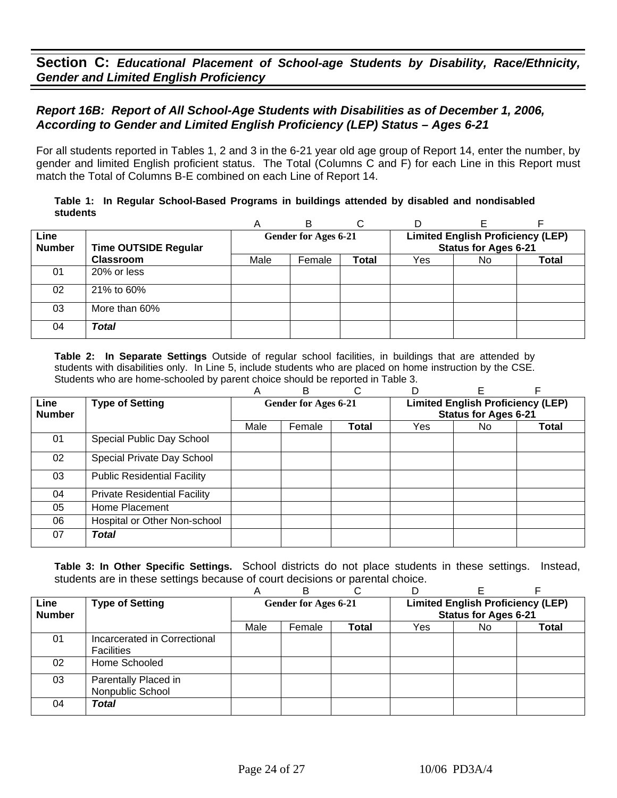## *Report 16B: Report of All School-Age Students with Disabilities as of December 1, 2006, According to Gender and Limited English Proficiency (LEP) Status – Ages 6-21*

For all students reported in Tables 1, 2 and 3 in the 6-21 year old age group of Report 14, enter the number, by gender and limited English proficient status. The Total (Columns C and F) for each Line in this Report must match the Total of Columns B-E combined on each Line of Report 14.

#### **Table 1: In Regular School-Based Programs in buildings attended by disabled and nondisabled students**

|                       |                             | A    | в                           | C            |                                                                         |     |              |  |
|-----------------------|-----------------------------|------|-----------------------------|--------------|-------------------------------------------------------------------------|-----|--------------|--|
| Line<br><b>Number</b> | <b>Time OUTSIDE Regular</b> |      | <b>Gender for Ages 6-21</b> |              | <b>Limited English Proficiency (LEP)</b><br><b>Status for Ages 6-21</b> |     |              |  |
|                       | <b>Classroom</b>            | Male | Female                      | <b>Total</b> | Yes                                                                     | No. | <b>Total</b> |  |
| 01                    | 20% or less                 |      |                             |              |                                                                         |     |              |  |
| 02                    | 21% to 60%                  |      |                             |              |                                                                         |     |              |  |
| 03                    | More than 60%               |      |                             |              |                                                                         |     |              |  |
| 04                    | Total                       |      |                             |              |                                                                         |     |              |  |

**Table 2: In Separate Settings** Outside of regular school facilities, in buildings that are attended by students with disabilities only. In Line 5, include students who are placed on home instruction by the CSE. Students who are home-schooled by parent choice should be reported in Table 3.

|                       |                                     | Α                                                                | в      |              | D   |                             |              |
|-----------------------|-------------------------------------|------------------------------------------------------------------|--------|--------------|-----|-----------------------------|--------------|
| Line<br><b>Number</b> | <b>Type of Setting</b>              | <b>Limited English Proficiency (LEP)</b><br>Gender for Ages 6-21 |        |              |     | <b>Status for Ages 6-21</b> |              |
|                       |                                     | Male                                                             | Female | <b>Total</b> | Yes | No.                         | <b>Total</b> |
| 01                    | Special Public Day School           |                                                                  |        |              |     |                             |              |
| 02                    | Special Private Day School          |                                                                  |        |              |     |                             |              |
| 03                    | <b>Public Residential Facility</b>  |                                                                  |        |              |     |                             |              |
| 04                    | <b>Private Residential Facility</b> |                                                                  |        |              |     |                             |              |
| 05                    | Home Placement                      |                                                                  |        |              |     |                             |              |
| 06                    | Hospital or Other Non-school        |                                                                  |        |              |     |                             |              |
| 07                    | Total                               |                                                                  |        |              |     |                             |              |

|               |                                                   | A    |                             |              |                                          |                             |       |  |
|---------------|---------------------------------------------------|------|-----------------------------|--------------|------------------------------------------|-----------------------------|-------|--|
| Line          | <b>Type of Setting</b>                            |      | <b>Gender for Ages 6-21</b> |              | <b>Limited English Proficiency (LEP)</b> |                             |       |  |
| <b>Number</b> |                                                   |      |                             |              |                                          | <b>Status for Ages 6-21</b> |       |  |
|               |                                                   | Male | Female                      | <b>Total</b> | Yes                                      | No.                         | Total |  |
| 01            | Incarcerated in Correctional<br><b>Facilities</b> |      |                             |              |                                          |                             |       |  |
| 02            | Home Schooled                                     |      |                             |              |                                          |                             |       |  |
| 03            | Parentally Placed in<br>Nonpublic School          |      |                             |              |                                          |                             |       |  |
| 04            | Total                                             |      |                             |              |                                          |                             |       |  |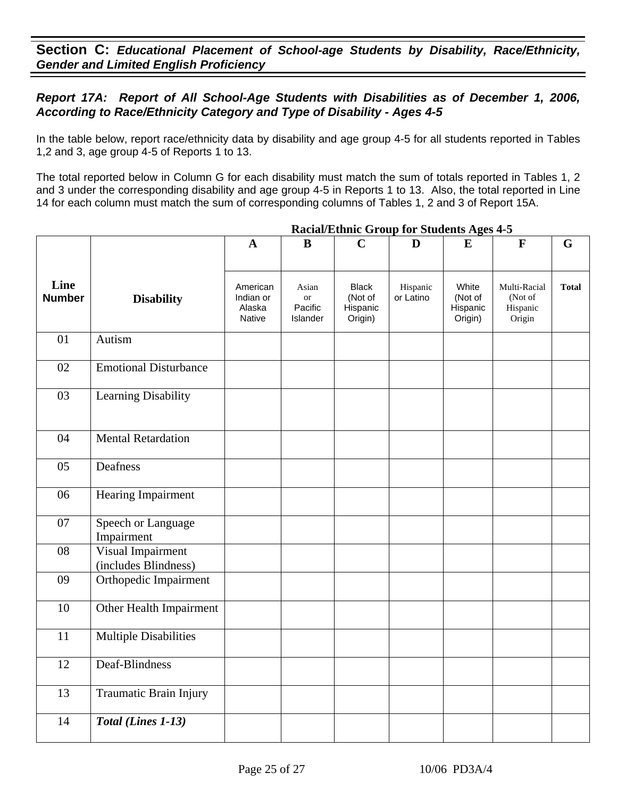## *Report 17A: Report of All School-Age Students with Disabilities as of December 1, 2006, According to Race/Ethnicity Category and Type of Disability - Ages 4-5*

In the table below, report race/ethnicity data by disability and age group 4-5 for all students reported in Tables 1,2 and 3, age group 4-5 of Reports 1 to 13.

The total reported below in Column G for each disability must match the sum of totals reported in Tables 1, 2 and 3 under the corresponding disability and age group 4-5 in Reports 1 to 13. Also, the total reported in Line 14 for each column must match the sum of corresponding columns of Tables 1, 2 and 3 of Report 15A.

|                       |                                           | $\mathbf{A}$                              | $\bf{B}$                                  | $\mathbf C$                                    | D                     | E                                       | $\mathbf{F}$                                  | G            |
|-----------------------|-------------------------------------------|-------------------------------------------|-------------------------------------------|------------------------------------------------|-----------------------|-----------------------------------------|-----------------------------------------------|--------------|
| Line<br><b>Number</b> | <b>Disability</b>                         | American<br>Indian or<br>Alaska<br>Native | Asian<br><b>or</b><br>Pacific<br>Islander | <b>Black</b><br>(Not of<br>Hispanic<br>Origin) | Hispanic<br>or Latino | White<br>(Not of<br>Hispanic<br>Origin) | Multi-Racial<br>(Not of<br>Hispanic<br>Origin | <b>Total</b> |
| 01                    | Autism                                    |                                           |                                           |                                                |                       |                                         |                                               |              |
| 02                    | <b>Emotional Disturbance</b>              |                                           |                                           |                                                |                       |                                         |                                               |              |
| 03                    | Learning Disability                       |                                           |                                           |                                                |                       |                                         |                                               |              |
| 04                    | <b>Mental Retardation</b>                 |                                           |                                           |                                                |                       |                                         |                                               |              |
| 05                    | Deafness                                  |                                           |                                           |                                                |                       |                                         |                                               |              |
| 06                    | Hearing Impairment                        |                                           |                                           |                                                |                       |                                         |                                               |              |
| 07                    | Speech or Language<br>Impairment          |                                           |                                           |                                                |                       |                                         |                                               |              |
| 08                    | Visual Impairment<br>(includes Blindness) |                                           |                                           |                                                |                       |                                         |                                               |              |
| 09                    | Orthopedic Impairment                     |                                           |                                           |                                                |                       |                                         |                                               |              |
| 10                    | Other Health Impairment                   |                                           |                                           |                                                |                       |                                         |                                               |              |
| 11                    | <b>Multiple Disabilities</b>              |                                           |                                           |                                                |                       |                                         |                                               |              |
| 12                    | Deaf-Blindness                            |                                           |                                           |                                                |                       |                                         |                                               |              |
| 13                    | Traumatic Brain Injury                    |                                           |                                           |                                                |                       |                                         |                                               |              |
| 14                    | Total (Lines 1-13)                        |                                           |                                           |                                                |                       |                                         |                                               |              |

### **Racial/Ethnic Group for Students Ages 4-5**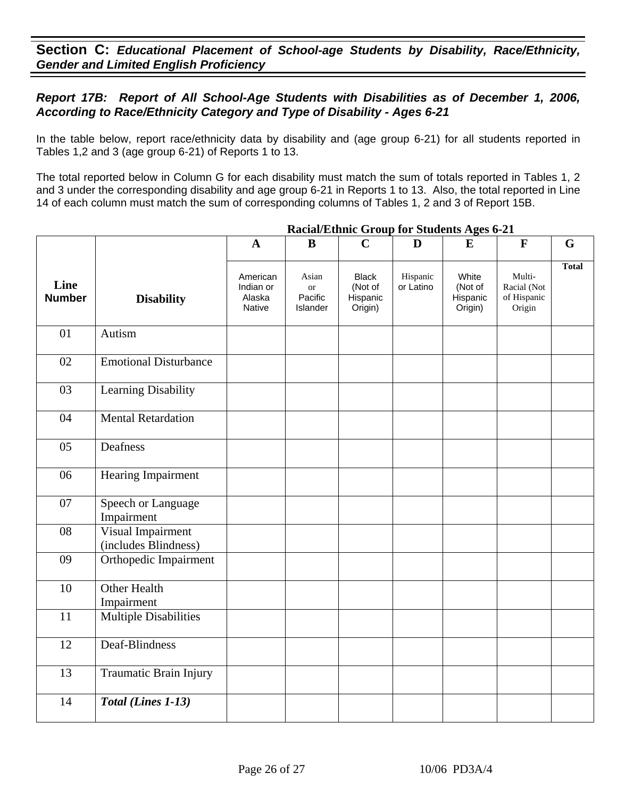## *Report 17B: Report of All School-Age Students with Disabilities as of December 1, 2006, According to Race/Ethnicity Category and Type of Disability - Ages 6-21*

In the table below, report race/ethnicity data by disability and (age group 6-21) for all students reported in Tables 1,2 and 3 (age group 6-21) of Reports 1 to 13.

The total reported below in Column G for each disability must match the sum of totals reported in Tables 1, 2 and 3 under the corresponding disability and age group 6-21 in Reports 1 to 13. Also, the total reported in Line 14 of each column must match the sum of corresponding columns of Tables 1, 2 and 3 of Report 15B.

|                       |                                           | $\mathbf{A}$                              | B                                         | $\mathbf C$                                    | D                     | E                                       | $\mathbf{F}$                                   | G            |
|-----------------------|-------------------------------------------|-------------------------------------------|-------------------------------------------|------------------------------------------------|-----------------------|-----------------------------------------|------------------------------------------------|--------------|
| Line<br><b>Number</b> | <b>Disability</b>                         | American<br>Indian or<br>Alaska<br>Native | Asian<br><b>or</b><br>Pacific<br>Islander | <b>Black</b><br>(Not of<br>Hispanic<br>Origin) | Hispanic<br>or Latino | White<br>(Not of<br>Hispanic<br>Origin) | Multi-<br>Racial (Not<br>of Hispanic<br>Origin | <b>Total</b> |
| 01                    | Autism                                    |                                           |                                           |                                                |                       |                                         |                                                |              |
| 02                    | <b>Emotional Disturbance</b>              |                                           |                                           |                                                |                       |                                         |                                                |              |
| 03                    | Learning Disability                       |                                           |                                           |                                                |                       |                                         |                                                |              |
| 04                    | <b>Mental Retardation</b>                 |                                           |                                           |                                                |                       |                                         |                                                |              |
| 05                    | Deafness                                  |                                           |                                           |                                                |                       |                                         |                                                |              |
| 06                    | Hearing Impairment                        |                                           |                                           |                                                |                       |                                         |                                                |              |
| 07                    | Speech or Language<br>Impairment          |                                           |                                           |                                                |                       |                                         |                                                |              |
| 08                    | Visual Impairment<br>(includes Blindness) |                                           |                                           |                                                |                       |                                         |                                                |              |
| 09                    | Orthopedic Impairment                     |                                           |                                           |                                                |                       |                                         |                                                |              |
| 10                    | <b>Other Health</b><br>Impairment         |                                           |                                           |                                                |                       |                                         |                                                |              |
| 11                    | <b>Multiple Disabilities</b>              |                                           |                                           |                                                |                       |                                         |                                                |              |
| 12                    | Deaf-Blindness                            |                                           |                                           |                                                |                       |                                         |                                                |              |
| 13                    | Traumatic Brain Injury                    |                                           |                                           |                                                |                       |                                         |                                                |              |
| 14                    | Total (Lines 1-13)                        |                                           |                                           |                                                |                       |                                         |                                                |              |

### **Racial/Ethnic Group for Students Ages 6-21**